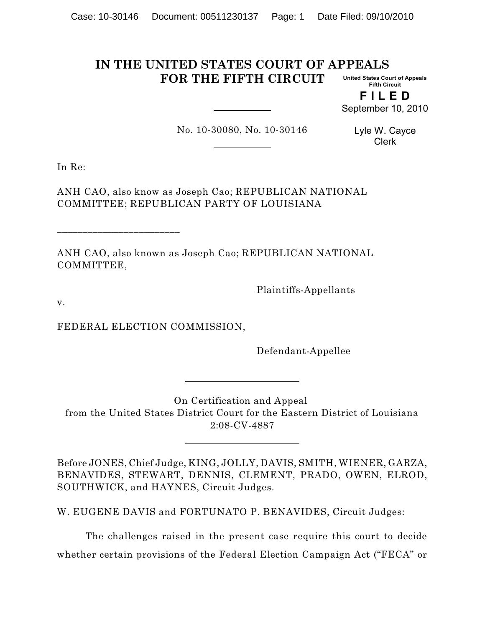#### **IN THE UNITED STATES COURT OF APPEALS FOR THE FIFTH CIRCUIT United States Court of Appeals Fifth Circuit**

**F I L E D** September 10, 2010

No. 10-30080, No. 10-30146

Lyle W. Cayce Clerk

In Re:

ANH CAO, also know as Joseph Cao; REPUBLICAN NATIONAL COMMITTEE; REPUBLICAN PARTY OF LOUISIANA

ANH CAO, also known as Joseph Cao; REPUBLICAN NATIONAL COMMITTEE,

Plaintiffs-Appellants

v.

FEDERAL ELECTION COMMISSION,

\_\_\_\_\_\_\_\_\_\_\_\_\_\_\_\_\_\_\_\_\_\_\_\_

Defendant-Appellee

On Certification and Appeal from the United States District Court for the Eastern District of Louisiana 2:08-CV-4887

Before JONES, Chief Judge, KING, JOLLY, DAVIS, SMITH, WIENER, GARZA, BENAVIDES, STEWART, DENNIS, CLEMENT, PRADO, OWEN, ELROD, SOUTHWICK, and HAYNES, Circuit Judges.

W. EUGENE DAVIS and FORTUNATO P. BENAVIDES, Circuit Judges:

The challenges raised in the present case require this court to decide whether certain provisions of the Federal Election Campaign Act ("FECA" or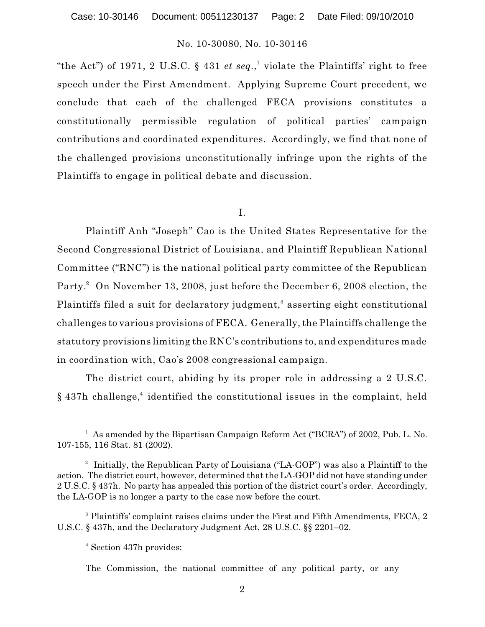"the Act") of 1971, 2 U.S.C. § 431 *et seq.*,<sup>1</sup> violate the Plaintiffs' right to free speech under the First Amendment. Applying Supreme Court precedent, we conclude that each of the challenged FECA provisions constitutes a constitutionally permissible regulation of political parties' campaign contributions and coordinated expenditures. Accordingly, we find that none of the challenged provisions unconstitutionally infringe upon the rights of the Plaintiffs to engage in political debate and discussion.

#### I.

Plaintiff Anh "Joseph" Cao is the United States Representative for the Second Congressional District of Louisiana, and Plaintiff Republican National Committee ("RNC") is the national political party committee of the Republican Party.<sup>2</sup> On November 13, 2008, just before the December 6, 2008 election, the Plaintiffs filed a suit for declaratory judgment,<sup>3</sup> asserting eight constitutional challenges to various provisions of FECA. Generally, the Plaintiffs challenge the statutory provisions limiting the RNC's contributions to, and expenditures made in coordination with, Cao's 2008 congressional campaign.

The district court, abiding by its proper role in addressing a 2 U.S.C. § 437h challenge,<sup>4</sup> identified the constitutional issues in the complaint, held

<sup>3</sup> Plaintiffs' complaint raises claims under the First and Fifth Amendments, FECA, 2 U.S.C. § 437h, and the Declaratory Judgment Act, 28 U.S.C. §§ 2201–02.

<sup>4</sup> Section 437h provides:

The Commission, the national committee of any political party, or any

<sup>&</sup>lt;sup>1</sup> As amended by the Bipartisan Campaign Reform Act ("BCRA") of 2002, Pub. L. No. 107-155, 116 Stat. 81 (2002).

<sup>&</sup>lt;sup>2</sup> Initially, the Republican Party of Louisiana ("LA-GOP") was also a Plaintiff to the action. The district court, however, determined that the LA-GOP did not have standing under 2 U.S.C. § 437h. No party has appealed this portion of the district court's order. Accordingly, the LA-GOP is no longer a party to the case now before the court.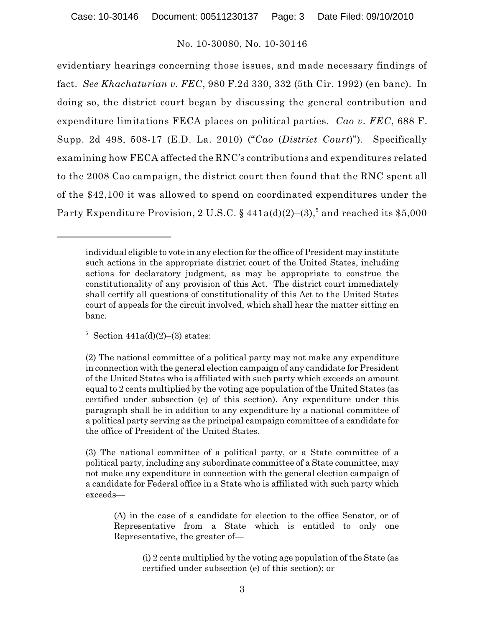evidentiary hearings concerning those issues, and made necessary findings of fact. *See Khachaturian v. FEC*, 980 F.2d 330, 332 (5th Cir. 1992) (en banc). In doing so, the district court began by discussing the general contribution and expenditure limitations FECA places on political parties. *Cao v. FEC*, 688 F. Supp. 2d 498, 508-17 (E.D. La. 2010) ("*Cao* (*District Court*)"). Specifically examining how FECA affected the RNC's contributions and expenditures related to the 2008 Cao campaign, the district court then found that the RNC spent all of the \$42,100 it was allowed to spend on coordinated expenditures under the Party Expenditure Provision, 2 U.S.C. § 441a(d)(2)–(3), $^5$  and reached its \$5,000

individual eligible to vote in any election for the office of President may institute such actions in the appropriate district court of the United States, including actions for declaratory judgment, as may be appropriate to construe the constitutionality of any provision of this Act. The district court immediately shall certify all questions of constitutionality of this Act to the United States court of appeals for the circuit involved, which shall hear the matter sitting en banc.

 $5$  Section 441a(d)(2)–(3) states:

<sup>(2)</sup> The national committee of a political party may not make any expenditure in connection with the general election campaign of any candidate for President of the United States who is affiliated with such party which exceeds an amount equal to 2 cents multiplied by the voting age population of the United States (as certified under subsection (e) of this section). Any expenditure under this paragraph shall be in addition to any expenditure by a national committee of a political party serving as the principal campaign committee of a candidate for the office of President of the United States.

<sup>(3)</sup> The national committee of a political party, or a State committee of a political party, including any subordinate committee of a State committee, may not make any expenditure in connection with the general election campaign of a candidate for Federal office in a State who is affiliated with such party which exceeds—

<sup>(</sup>A) in the case of a candidate for election to the office Senator, or of Representative from a State which is entitled to only one Representative, the greater of—

<sup>(</sup>i) 2 cents multiplied by the voting age population of the State (as certified under subsection (e) of this section); or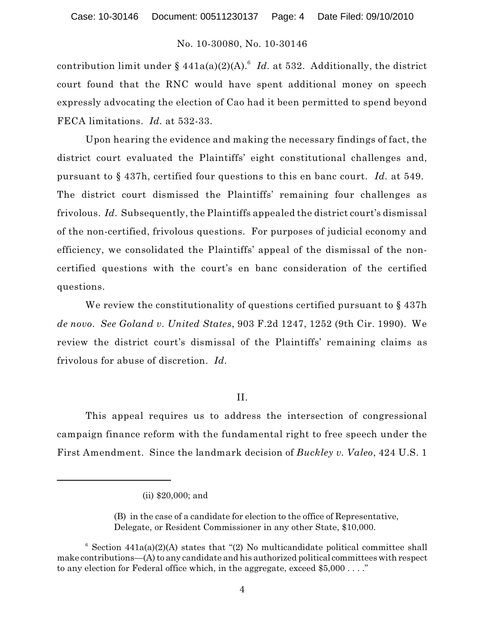contribution limit under §  $441a(a)(2)(A)$ .<sup>6</sup> *Id.* at 532. Additionally, the district court found that the RNC would have spent additional money on speech expressly advocating the election of Cao had it been permitted to spend beyond FECA limitations. *Id.* at 532-33.

Upon hearing the evidence and making the necessary findings of fact, the district court evaluated the Plaintiffs' eight constitutional challenges and, pursuant to § 437h, certified four questions to this en banc court. *Id.* at 549. The district court dismissed the Plaintiffs' remaining four challenges as frivolous. *Id.* Subsequently, the Plaintiffs appealed the district court's dismissal of the non-certified, frivolous questions. For purposes of judicial economy and efficiency, we consolidated the Plaintiffs' appeal of the dismissal of the noncertified questions with the court's en banc consideration of the certified questions.

We review the constitutionality of questions certified pursuant to  $\S 437h$ *de novo*. *See Goland v. United States*, 903 F.2d 1247, 1252 (9th Cir. 1990). We review the district court's dismissal of the Plaintiffs' remaining claims as frivolous for abuse of discretion. *Id.*

# II.

This appeal requires us to address the intersection of congressional campaign finance reform with the fundamental right to free speech under the First Amendment. Since the landmark decision of *Buckley v. Valeo*, 424 U.S. 1

<sup>(</sup>ii) \$20,000; and

<sup>(</sup>B) in the case of a candidate for election to the office of Representative, Delegate, or Resident Commissioner in any other State, \$10,000.

 $6$  Section 441a(a)(2)(A) states that "(2) No multicandidate political committee shall make contributions—(A) to any candidate and his authorized political committees with respect to any election for Federal office which, in the aggregate, exceed \$5,000 . . . ."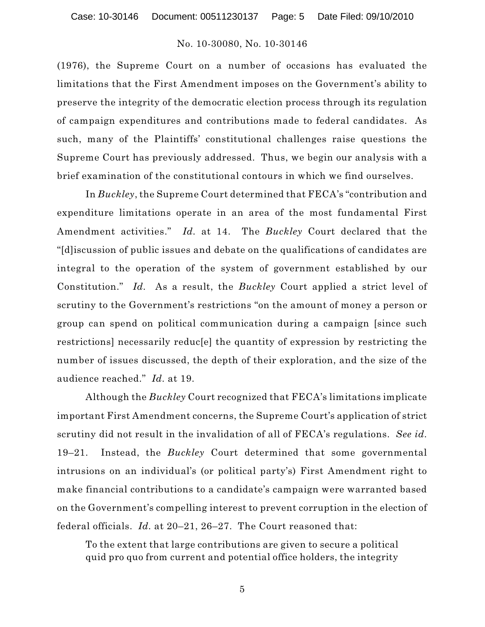(1976), the Supreme Court on a number of occasions has evaluated the limitations that the First Amendment imposes on the Government's ability to preserve the integrity of the democratic election process through its regulation of campaign expenditures and contributions made to federal candidates. As such, many of the Plaintiffs' constitutional challenges raise questions the Supreme Court has previously addressed. Thus, we begin our analysis with a brief examination of the constitutional contours in which we find ourselves.

In *Buckley*, the Supreme Court determined that FECA's "contribution and expenditure limitations operate in an area of the most fundamental First Amendment activities." *Id.* at 14. The *Buckley* Court declared that the "[d]iscussion of public issues and debate on the qualifications of candidates are integral to the operation of the system of government established by our Constitution." *Id.* As a result, the *Buckley* Court applied a strict level of scrutiny to the Government's restrictions "on the amount of money a person or group can spend on political communication during a campaign [since such restrictions] necessarily reduc[e] the quantity of expression by restricting the number of issues discussed, the depth of their exploration, and the size of the audience reached." *Id.* at 19.

Although the *Buckley* Court recognized that FECA's limitations implicate important First Amendment concerns, the Supreme Court's application of strict scrutiny did not result in the invalidation of all of FECA's regulations. *See id.* 19–21. Instead, the *Buckley* Court determined that some governmental intrusions on an individual's (or political party's) First Amendment right to make financial contributions to a candidate's campaign were warranted based on the Government's compelling interest to prevent corruption in the election of federal officials. *Id.* at 20–21, 26–27. The Court reasoned that:

To the extent that large contributions are given to secure a political quid pro quo from current and potential office holders, the integrity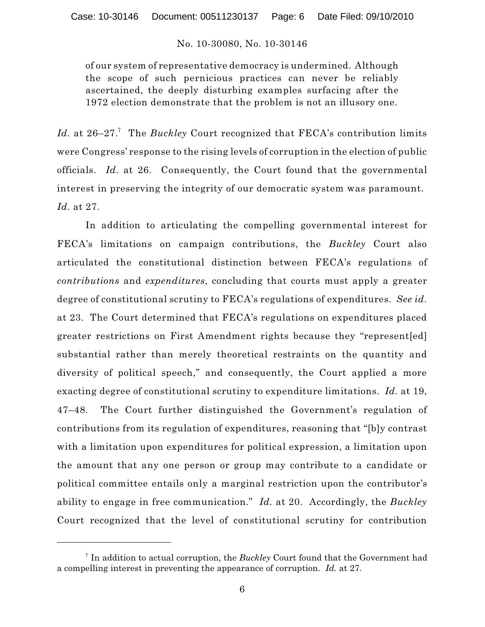of our system of representative democracy is undermined. Although the scope of such pernicious practices can never be reliably ascertained, the deeply disturbing examples surfacing after the 1972 election demonstrate that the problem is not an illusory one.

Id. at 26–27.<sup>7</sup> The Buckley Court recognized that FECA's contribution limits were Congress' response to the rising levels of corruption in the election of public officials. *Id.* at 26. Consequently, the Court found that the governmental interest in preserving the integrity of our democratic system was paramount. *Id.* at 27.

In addition to articulating the compelling governmental interest for FECA's limitations on campaign contributions, the *Buckley* Court also articulated the constitutional distinction between FECA's regulations of *contributions* and *expenditures*, concluding that courts must apply a greater degree of constitutional scrutiny to FECA's regulations of expenditures. *See id.* at 23. The Court determined that FECA's regulations on expenditures placed greater restrictions on First Amendment rights because they "represent[ed] substantial rather than merely theoretical restraints on the quantity and diversity of political speech," and consequently, the Court applied a more exacting degree of constitutional scrutiny to expenditure limitations. *Id.* at 19, 47–48*.* The Court further distinguished the Government's regulation of contributions from its regulation of expenditures, reasoning that "[b]y contrast with a limitation upon expenditures for political expression, a limitation upon the amount that any one person or group may contribute to a candidate or political committee entails only a marginal restriction upon the contributor's ability to engage in free communication." *Id.* at 20. Accordingly, the *Buckley* Court recognized that the level of constitutional scrutiny for contribution

 $\frac{1}{1}$  In addition to actual corruption, the *Buckley* Court found that the Government had a compelling interest in preventing the appearance of corruption. *Id.* at 27.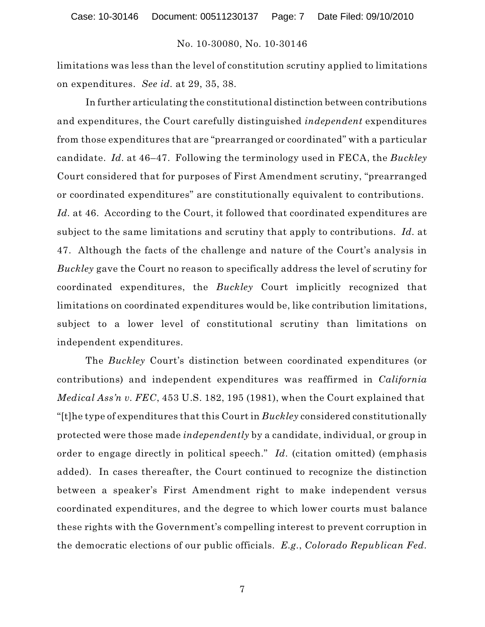limitations was less than the level of constitution scrutiny applied to limitations on expenditures. *See id.* at 29, 35, 38.

In further articulating the constitutional distinction between contributions and expenditures, the Court carefully distinguished *independent* expenditures from those expenditures that are "prearranged or coordinated" with a particular candidate. *Id.* at 46–47. Following the terminology used in FECA, the *Buckley* Court considered that for purposes of First Amendment scrutiny, "prearranged or coordinated expenditures" are constitutionally equivalent to contributions. Id. at 46. According to the Court, it followed that coordinated expenditures are subject to the same limitations and scrutiny that apply to contributions. *Id.* at 47. Although the facts of the challenge and nature of the Court's analysis in *Buckley* gave the Court no reason to specifically address the level of scrutiny for coordinated expenditures, the *Buckley* Court implicitly recognized that limitations on coordinated expenditures would be, like contribution limitations, subject to a lower level of constitutional scrutiny than limitations on independent expenditures.

The *Buckley* Court's distinction between coordinated expenditures (or contributions) and independent expenditures was reaffirmed in *California Medical Ass'n v. FEC*, 453 U.S. 182, 195 (1981), when the Court explained that "[t]he type of expenditures that this Court in *Buckley* considered constitutionally protected were those made *independently* by a candidate, individual, or group in order to engage directly in political speech." *Id.* (citation omitted) (emphasis added). In cases thereafter, the Court continued to recognize the distinction between a speaker's First Amendment right to make independent versus coordinated expenditures, and the degree to which lower courts must balance these rights with the Government's compelling interest to prevent corruption in the democratic elections of our public officials. *E.g.*, *Colorado Republican Fed.*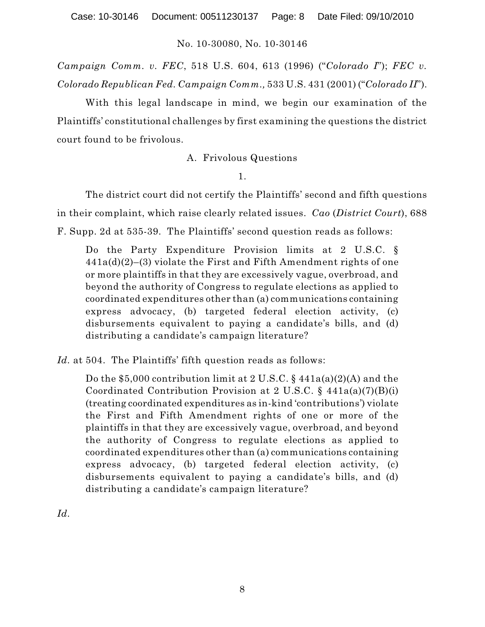*Campaign Comm. v. FEC*, 518 U.S. 604, 613 (1996) ("*Colorado I*"); *FEC v. Colorado Republican Fed. Campaign Comm.,* 533 U.S. 431 (2001) ("*Colorado II*").

With this legal landscape in mind, we begin our examination of the Plaintiffs' constitutional challenges by first examining the questions the district court found to be frivolous.

A. Frivolous Questions

1.

The district court did not certify the Plaintiffs' second and fifth questions in their complaint, which raise clearly related issues. *Cao* (*District Court*), 688 F. Supp. 2d at 535-39. The Plaintiffs' second question reads as follows:

Do the Party Expenditure Provision limits at 2 U.S.C. §  $441a(d)(2)–(3)$  violate the First and Fifth Amendment rights of one or more plaintiffs in that they are excessively vague, overbroad, and beyond the authority of Congress to regulate elections as applied to coordinated expenditures other than (a) communications containing express advocacy, (b) targeted federal election activity, (c) disbursements equivalent to paying a candidate's bills, and (d) distributing a candidate's campaign literature?

*Id.* at 504. The Plaintiffs' fifth question reads as follows:

Do the \$5,000 contribution limit at 2 U.S.C.  $\S$  441a(a)(2)(A) and the Coordinated Contribution Provision at 2 U.S.C. § 441a(a)(7)(B)(i) (treating coordinated expenditures as in-kind 'contributions') violate the First and Fifth Amendment rights of one or more of the plaintiffs in that they are excessively vague, overbroad, and beyond the authority of Congress to regulate elections as applied to coordinated expenditures other than (a) communications containing express advocacy, (b) targeted federal election activity, (c) disbursements equivalent to paying a candidate's bills, and (d) distributing a candidate's campaign literature?

*Id.*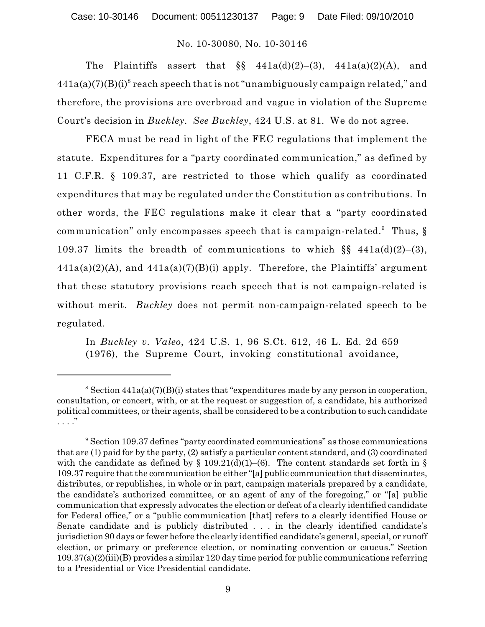The Plaintiffs assert that  $\S$   $441a(d)(2)-(3)$ ,  $441a(a)(2)(A)$ , and  $441a(a)(7)(B)(i)^{8}$  reach speech that is not "unambiguously campaign related," and therefore, the provisions are overbroad and vague in violation of the Supreme Court's decision in *Buckley*. *See Buckley*, 424 U.S. at 81. We do not agree.

FECA must be read in light of the FEC regulations that implement the statute. Expenditures for a "party coordinated communication," as defined by 11 C.F.R. § 109.37, are restricted to those which qualify as coordinated expenditures that may be regulated under the Constitution as contributions. In other words, the FEC regulations make it clear that a "party coordinated communication" only encompasses speech that is campaign-related. $^9$  Thus, § 109.37 limits the breadth of communications to which  $\S$  441a(d)(2)–(3),  $441a(a)(2)(A)$ , and  $441a(a)(7)(B)(i)$  apply. Therefore, the Plaintiffs' argument that these statutory provisions reach speech that is not campaign-related is without merit. *Buckley* does not permit non-campaign-related speech to be regulated.

In *Buckley v. Valeo*, 424 U.S. 1, 96 S.Ct. 612, 46 L. Ed. 2d 659 (1976), the Supreme Court, invoking constitutional avoidance,

 $\delta$  Section 441a(a)(7)(B)(i) states that "expenditures made by any person in cooperation, consultation, or concert, with, or at the request or suggestion of, a candidate, his authorized political committees, or their agents, shall be considered to be a contribution to such candidate . . . ."

<sup>&</sup>lt;sup>9</sup> Section 109.37 defines "party coordinated communications" as those communications that are (1) paid for by the party, (2) satisfy a particular content standard, and (3) coordinated with the candidate as defined by  $\S$  109.21(d)(1)–(6). The content standards set forth in  $\S$ 109.37 require that the communication be either "[a] public communication that disseminates, distributes, or republishes, in whole or in part, campaign materials prepared by a candidate, the candidate's authorized committee, or an agent of any of the foregoing," or "[a] public communication that expressly advocates the election or defeat of a clearly identified candidate for Federal office," or a "public communication [that] refers to a clearly identified House or Senate candidate and is publicly distributed . . . in the clearly identified candidate's jurisdiction 90 days or fewer before the clearly identified candidate's general, special, or runoff election, or primary or preference election, or nominating convention or caucus." Section 109.37(a)(2)(iii)(B) provides a similar 120 day time period for public communications referring to a Presidential or Vice Presidential candidate.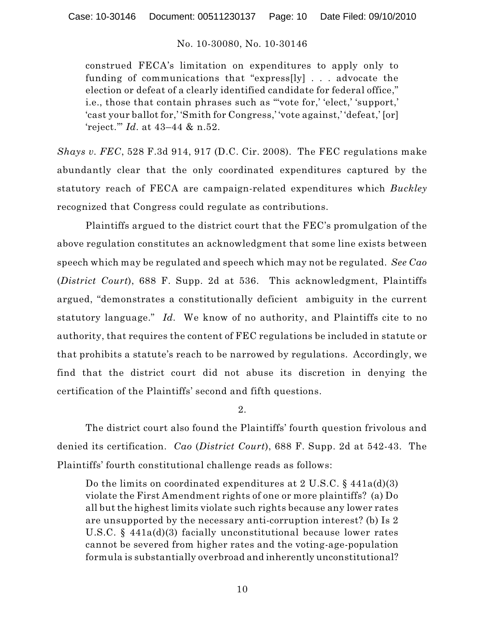construed FECA's limitation on expenditures to apply only to funding of communications that "express[ly] . . . advocate the election or defeat of a clearly identified candidate for federal office," i.e., those that contain phrases such as "'vote for,' 'elect,' 'support,' 'cast your ballot for,' 'Smith for Congress,' 'vote against,' 'defeat,' [or] 'reject.'" *Id.* at 43–44 & n.52.

*Shays v. FEC*, 528 F.3d 914, 917 (D.C. Cir. 2008). The FEC regulations make abundantly clear that the only coordinated expenditures captured by the statutory reach of FECA are campaign-related expenditures which *Buckley* recognized that Congress could regulate as contributions.

Plaintiffs argued to the district court that the FEC's promulgation of the above regulation constitutes an acknowledgment that some line exists between speech which may be regulated and speech which may not be regulated. *See Cao* (*District Court*), 688 F. Supp. 2d at 536. This acknowledgment, Plaintiffs argued, "demonstrates a constitutionally deficient ambiguity in the current statutory language." *Id.* We know of no authority, and Plaintiffs cite to no authority, that requires the content of FEC regulations be included in statute or that prohibits a statute's reach to be narrowed by regulations. Accordingly, we find that the district court did not abuse its discretion in denying the certification of the Plaintiffs' second and fifth questions.

# 2.

The district court also found the Plaintiffs' fourth question frivolous and denied its certification. *Cao* (*District Court*), 688 F. Supp. 2d at 542-43. The Plaintiffs' fourth constitutional challenge reads as follows:

Do the limits on coordinated expenditures at 2 U.S.C. § 441a(d)(3) violate the First Amendment rights of one or more plaintiffs? (a) Do all but the highest limits violate such rights because any lower rates are unsupported by the necessary anti-corruption interest? (b) Is 2 U.S.C. § 441a(d)(3) facially unconstitutional because lower rates cannot be severed from higher rates and the voting-age-population formula is substantially overbroad and inherently unconstitutional?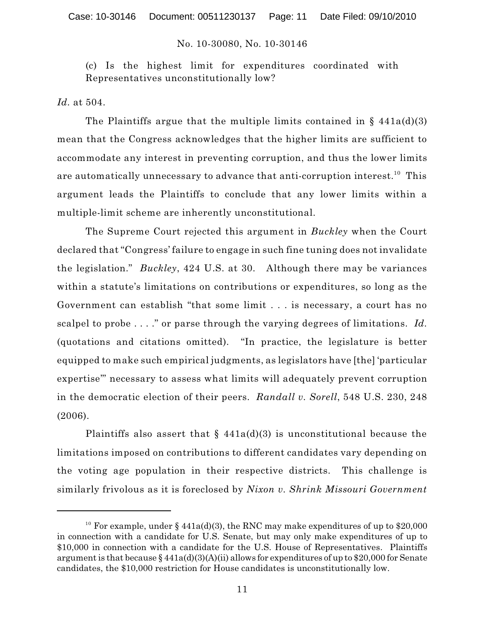(c) Is the highest limit for expenditures coordinated with Representatives unconstitutionally low?

*Id.* at 504.

The Plaintiffs argue that the multiple limits contained in  $\S$  441a(d)(3) mean that the Congress acknowledges that the higher limits are sufficient to accommodate any interest in preventing corruption, and thus the lower limits are automatically unnecessary to advance that anti-corruption interest. $^{\rm 10}$  This argument leads the Plaintiffs to conclude that any lower limits within a multiple-limit scheme are inherently unconstitutional.

The Supreme Court rejected this argument in *Buckley* when the Court declared that "Congress' failure to engage in such fine tuning does not invalidate the legislation." *Buckley*, 424 U.S. at 30. Although there may be variances within a statute's limitations on contributions or expenditures, so long as the Government can establish "that some limit . . . is necessary, a court has no scalpel to probe . . . ." or parse through the varying degrees of limitations. *Id.* (quotations and citations omitted). "In practice, the legislature is better equipped to make such empirical judgments, as legislators have [the] 'particular expertise'" necessary to assess what limits will adequately prevent corruption in the democratic election of their peers. *Randall v. Sorell*, 548 U.S. 230, 248 (2006).

Plaintiffs also assert that  $\S$  441a(d)(3) is unconstitutional because the limitations imposed on contributions to different candidates vary depending on the voting age population in their respective districts. This challenge is similarly frivolous as it is foreclosed by *Nixon v. Shrink Missouri Government*

<sup>&</sup>lt;sup>10</sup> For example, under § 441a(d)(3), the RNC may make expenditures of up to \$20,000 in connection with a candidate for U.S. Senate, but may only make expenditures of up to \$10,000 in connection with a candidate for the U.S. House of Representatives. Plaintiffs argument is that because  $\frac{2441a(d)(3)(A(ii))}{a(li)}$  allows for expenditures of up to \$20,000 for Senate candidates, the \$10,000 restriction for House candidates is unconstitutionally low.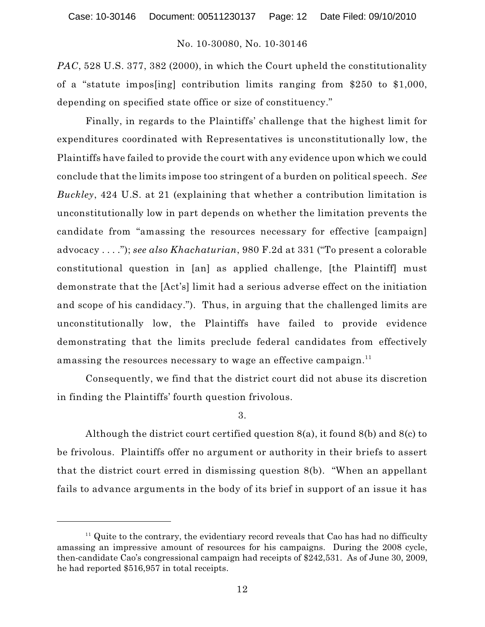*PAC*, 528 U.S. 377, 382 (2000), in which the Court upheld the constitutionality of a "statute impos[ing] contribution limits ranging from \$250 to \$1,000, depending on specified state office or size of constituency."

Finally, in regards to the Plaintiffs' challenge that the highest limit for expenditures coordinated with Representatives is unconstitutionally low, the Plaintiffs have failed to provide the court with any evidence upon which we could conclude that the limits impose too stringent of a burden on political speech. *See Buckley*, 424 U.S. at 21 (explaining that whether a contribution limitation is unconstitutionally low in part depends on whether the limitation prevents the candidate from "amassing the resources necessary for effective [campaign] advocacy . . . ."); *see also Khachaturian*, 980 F.2d at 331 ("To present a colorable constitutional question in [an] as applied challenge, [the Plaintiff] must demonstrate that the [Act's] limit had a serious adverse effect on the initiation and scope of his candidacy."). Thus, in arguing that the challenged limits are unconstitutionally low, the Plaintiffs have failed to provide evidence demonstrating that the limits preclude federal candidates from effectively amassing the resources necessary to wage an effective campaign. $^{\rm 11}$ 

Consequently, we find that the district court did not abuse its discretion in finding the Plaintiffs' fourth question frivolous.

#### 3.

Although the district court certified question 8(a), it found 8(b) and 8(c) to be frivolous. Plaintiffs offer no argument or authority in their briefs to assert that the district court erred in dismissing question 8(b). "When an appellant fails to advance arguments in the body of its brief in support of an issue it has

 $11$  Quite to the contrary, the evidentiary record reveals that Cao has had no difficulty amassing an impressive amount of resources for his campaigns. During the 2008 cycle, then-candidate Cao's congressional campaign had receipts of \$242,531. As of June 30, 2009, he had reported \$516,957 in total receipts.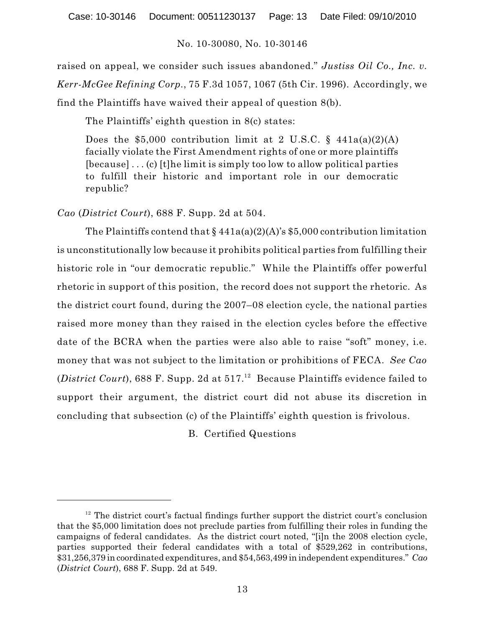raised on appeal, we consider such issues abandoned." *Justiss Oil Co., Inc. v. Kerr-McGee Refining Corp.*, 75 F.3d 1057, 1067 (5th Cir. 1996). Accordingly, we find the Plaintiffs have waived their appeal of question 8(b).

The Plaintiffs' eighth question in 8(c) states:

Does the \$5,000 contribution limit at 2 U.S.C. §  $441a(a)(2)(A)$ facially violate the First Amendment rights of one or more plaintiffs [because] . . . (c) [t]he limit is simply too low to allow political parties to fulfill their historic and important role in our democratic republic?

*Cao* (*District Court*), 688 F. Supp. 2d at 504.

The Plaintiffs contend that  $\frac{2441a(a)(2)(A)}{s $5,000}$  contribution limitation is unconstitutionally low because it prohibits political parties from fulfilling their historic role in "our democratic republic." While the Plaintiffs offer powerful rhetoric in support of this position, the record does not support the rhetoric. As the district court found, during the 2007–08 election cycle, the national parties raised more money than they raised in the election cycles before the effective date of the BCRA when the parties were also able to raise "soft" money, i.e. money that was not subject to the limitation or prohibitions of FECA. *See Cao* (*District Court*), 688 F. Supp. 2d at  $517$ .<sup>12</sup> Because Plaintiffs evidence failed to support their argument, the district court did not abuse its discretion in concluding that subsection (c) of the Plaintiffs' eighth question is frivolous.

B. Certified Questions

 $12$  The district court's factual findings further support the district court's conclusion that the \$5,000 limitation does not preclude parties from fulfilling their roles in funding the campaigns of federal candidates. As the district court noted, "[i]n the 2008 election cycle, parties supported their federal candidates with a total of \$529,262 in contributions, \$31,256,379 in coordinated expenditures, and \$54,563,499 in independent expenditures." *Cao* (*District Court*), 688 F. Supp. 2d at 549.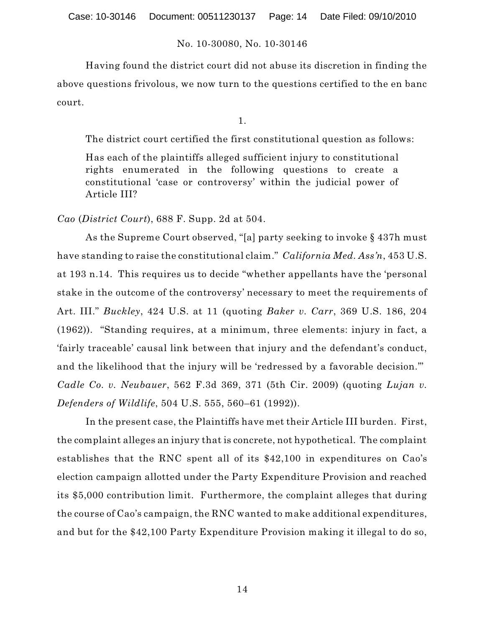Having found the district court did not abuse its discretion in finding the above questions frivolous, we now turn to the questions certified to the en banc court.

1.

The district court certified the first constitutional question as follows:

Has each of the plaintiffs alleged sufficient injury to constitutional rights enumerated in the following questions to create a constitutional 'case or controversy' within the judicial power of Article III?

*Cao* (*District Court*), 688 F. Supp. 2d at 504.

As the Supreme Court observed, "[a] party seeking to invoke § 437h must have standing to raise the constitutional claim." *California Med. Ass'n*, 453 U.S. at 193 n.14. This requires us to decide "whether appellants have the 'personal stake in the outcome of the controversy' necessary to meet the requirements of Art. III." *Buckley*, 424 U.S. at 11 (quoting *Baker v. Carr*, 369 U.S. 186, 204 (1962)). "Standing requires, at a minimum, three elements: injury in fact, a 'fairly traceable' causal link between that injury and the defendant's conduct, and the likelihood that the injury will be 'redressed by a favorable decision.'" *Cadle Co. v. Neubauer*, 562 F.3d 369, 371 (5th Cir. 2009) (quoting *Lujan v. Defenders of Wildlife*, 504 U.S. 555, 560–61 (1992)).

In the present case, the Plaintiffs have met their Article III burden. First, the complaint alleges an injury that is concrete, not hypothetical. The complaint establishes that the RNC spent all of its \$42,100 in expenditures on Cao's election campaign allotted under the Party Expenditure Provision and reached its \$5,000 contribution limit. Furthermore, the complaint alleges that during the course of Cao's campaign, the RNC wanted to make additional expenditures, and but for the \$42,100 Party Expenditure Provision making it illegal to do so,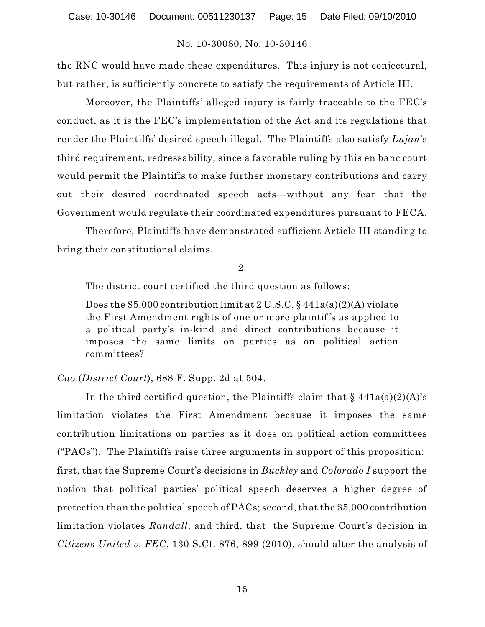the RNC would have made these expenditures. This injury is not conjectural, but rather, is sufficiently concrete to satisfy the requirements of Article III.

Moreover, the Plaintiffs' alleged injury is fairly traceable to the FEC's conduct, as it is the FEC's implementation of the Act and its regulations that render the Plaintiffs' desired speech illegal. The Plaintiffs also satisfy *Lujan*'s third requirement, redressability, since a favorable ruling by this en banc court would permit the Plaintiffs to make further monetary contributions and carry out their desired coordinated speech acts—without any fear that the Government would regulate their coordinated expenditures pursuant to FECA.

Therefore, Plaintiffs have demonstrated sufficient Article III standing to bring their constitutional claims.

2.

The district court certified the third question as follows:

Does the \$5,000 contribution limit at 2 U.S.C. § 441a(a)(2)(A) violate the First Amendment rights of one or more plaintiffs as applied to a political party's in-kind and direct contributions because it imposes the same limits on parties as on political action committees?

# *Cao* (*District Court*), 688 F. Supp. 2d at 504.

In the third certified question, the Plaintiffs claim that  $\S$  441a(a)(2)(A)'s limitation violates the First Amendment because it imposes the same contribution limitations on parties as it does on political action committees ("PACs"). The Plaintiffs raise three arguments in support of this proposition: first, that the Supreme Court's decisions in *Buckley* and *Colorado I* support the notion that political parties' political speech deserves a higher degree of protection than the political speech of PACs; second, that the \$5,000 contribution limitation violates *Randall*; and third, that the Supreme Court's decision in *Citizens United v. FEC*, 130 S.Ct. 876, 899 (2010), should alter the analysis of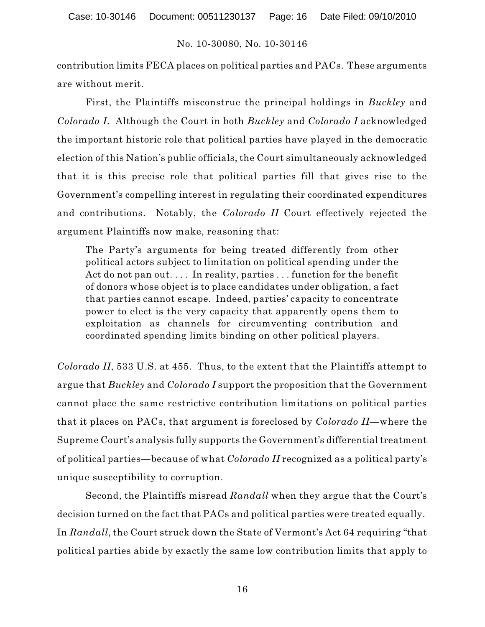contribution limits FECA places on political parties and PACs. These arguments are without merit.

First, the Plaintiffs misconstrue the principal holdings in *Buckley* and *Colorado I*. Although the Court in both *Buckley* and *Colorado I* acknowledged the important historic role that political parties have played in the democratic election of this Nation's public officials, the Court simultaneously acknowledged that it is this precise role that political parties fill that gives rise to the Government's compelling interest in regulating their coordinated expenditures and contributions. Notably, the *Colorado II* Court effectively rejected the argument Plaintiffs now make, reasoning that:

The Party's arguments for being treated differently from other political actors subject to limitation on political spending under the Act do not pan out.... In reality, parties  $\dots$  function for the benefit of donors whose object is to place candidates under obligation, a fact that parties cannot escape. Indeed, parties' capacity to concentrate power to elect is the very capacity that apparently opens them to exploitation as channels for circumventing contribution and coordinated spending limits binding on other political players.

*Colorado II*, 533 U.S. at 455. Thus, to the extent that the Plaintiffs attempt to argue that *Buckley* and *Colorado I* support the proposition that the Government cannot place the same restrictive contribution limitations on political parties that it places on PACs, that argument is foreclosed by *Colorado II*—where the Supreme Court's analysis fully supports the Government's differentialtreatment of political parties—because of what *Colorado II* recognized as a political party's unique susceptibility to corruption.

Second, the Plaintiffs misread *Randall* when they argue that the Court's decision turned on the fact that PACs and political parties were treated equally. In *Randall*, the Court struck down the State of Vermont's Act 64 requiring "that political parties abide by exactly the same low contribution limits that apply to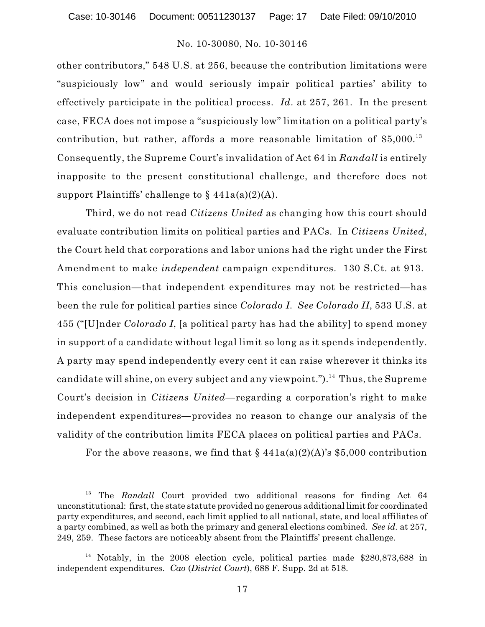other contributors," 548 U.S. at 256, because the contribution limitations were "suspiciously low" and would seriously impair political parties' ability to effectively participate in the political process. *Id*. at 257, 261. In the present case, FECA does not impose a "suspiciously low" limitation on a political party's contribution, but rather, affords a more reasonable limitation of  $$5,000.<sup>13</sup>$ Consequently, the Supreme Court's invalidation of Act 64 in *Randall* is entirely inapposite to the present constitutional challenge, and therefore does not support Plaintiffs' challenge to  $\S$  441a(a)(2)(A).

Third, we do not read *Citizens United* as changing how this court should evaluate contribution limits on political parties and PACs. In *Citizens United*, the Court held that corporations and labor unions had the right under the First Amendment to make *independent* campaign expenditures. 130 S.Ct. at 913. This conclusion—that independent expenditures may not be restricted—has been the rule for political parties since *Colorado I*. *See Colorado II*, 533 U.S. at 455 ("[U]nder *Colorado I*, [a political party has had the ability] to spend money in support of a candidate without legal limit so long as it spends independently. A party may spend independently every cent it can raise wherever it thinks its candidate will shine, on every subject and any viewpoint."). $^{\rm 14}$  Thus, the Supreme Court's decision in *Citizens United*—regarding a corporation's right to make independent expenditures—provides no reason to change our analysis of the validity of the contribution limits FECA places on political parties and PACs.

For the above reasons, we find that  $\S$  441a(a)(2)(A)'s \$5,000 contribution

<sup>&</sup>lt;sup>13</sup> The *Randall* Court provided two additional reasons for finding Act 64 unconstitutional: first, the state statute provided no generous additional limit for coordinated party expenditures, and second, each limit applied to all national, state, and local affiliates of a party combined, as well as both the primary and general elections combined. *See id.* at 257, 249, 259. These factors are noticeably absent from the Plaintiffs' present challenge.

<sup>&</sup>lt;sup>14</sup> Notably, in the 2008 election cycle, political parties made  $$280,873,688$  in independent expenditures. *Cao* (*District Court*), 688 F. Supp. 2d at 518.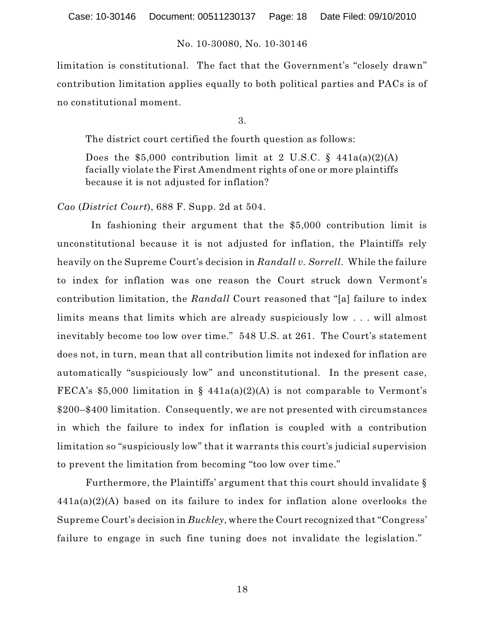limitation is constitutional. The fact that the Government's "closely drawn" contribution limitation applies equally to both political parties and PACs is of no constitutional moment.

3.

The district court certified the fourth question as follows:

Does the \$5,000 contribution limit at 2 U.S.C.  $\S$  441a(a)(2)(A) facially violate the First Amendment rights of one or more plaintiffs because it is not adjusted for inflation?

*Cao* (*District Court*), 688 F. Supp. 2d at 504.

In fashioning their argument that the \$5,000 contribution limit is unconstitutional because it is not adjusted for inflation, the Plaintiffs rely heavily on the Supreme Court's decision in *Randall v. Sorrell*. While the failure to index for inflation was one reason the Court struck down Vermont's contribution limitation, the *Randall* Court reasoned that "[a] failure to index limits means that limits which are already suspiciously low . . . will almost inevitably become too low over time." 548 U.S. at 261. The Court's statement does not, in turn, mean that all contribution limits not indexed for inflation are automatically "suspiciously low" and unconstitutional. In the present case, FECA's \$5,000 limitation in §  $441a(a)(2)(A)$  is not comparable to Vermont's \$200–\$400 limitation. Consequently, we are not presented with circumstances in which the failure to index for inflation is coupled with a contribution limitation so "suspiciously low" that it warrants this court's judicial supervision to prevent the limitation from becoming "too low over time."

Furthermore, the Plaintiffs' argument that this court should invalidate §  $441a(a)(2)(A)$  based on its failure to index for inflation alone overlooks the Supreme Court's decision in *Buckley*, where the Court recognized that "Congress' failure to engage in such fine tuning does not invalidate the legislation."

18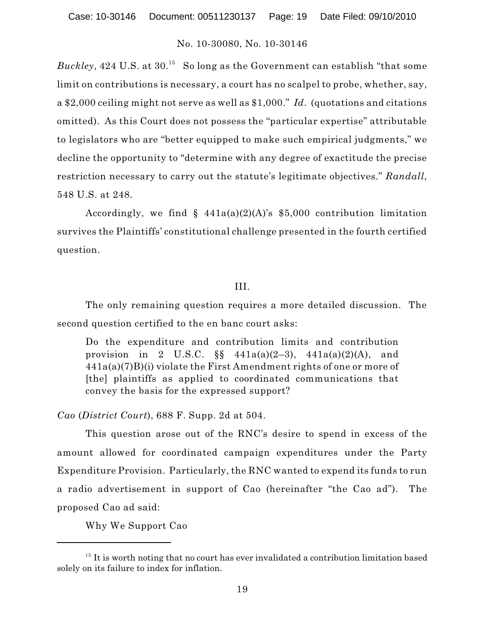Buckley, 424 U.S. at  $30^{15}$  So long as the Government can establish "that some limit on contributions is necessary, a court has no scalpel to probe, whether, say, a \$2,000 ceiling might not serve as well as \$1,000." *Id.* (quotations and citations omitted). As this Court does not possess the "particular expertise" attributable to legislators who are "better equipped to make such empirical judgments," we decline the opportunity to "determine with any degree of exactitude the precise restriction necessary to carry out the statute's legitimate objectives." *Randall*, 548 U.S. at 248.

Accordingly, we find  $\S$  441a(a)(2)(A)'s \$5,000 contribution limitation survives the Plaintiffs' constitutional challenge presented in the fourth certified question.

#### III.

The only remaining question requires a more detailed discussion. The second question certified to the en banc court asks:

Do the expenditure and contribution limits and contribution provision in 2 U.S.C.  $\S_{\text{S}}$  441a(a)(2-3), 441a(a)(2)(A), and  $441a(a)(7)B(i)$  violate the First Amendment rights of one or more of [the] plaintiffs as applied to coordinated communications that convey the basis for the expressed support?

*Cao* (*District Court*), 688 F. Supp. 2d at 504.

This question arose out of the RNC's desire to spend in excess of the amount allowed for coordinated campaign expenditures under the Party Expenditure Provision. Particularly, the RNC wanted to expend its funds to run a radio advertisement in support of Cao (hereinafter "the Cao ad"). The proposed Cao ad said:

Why We Support Cao

 $15$  It is worth noting that no court has ever invalidated a contribution limitation based solely on its failure to index for inflation.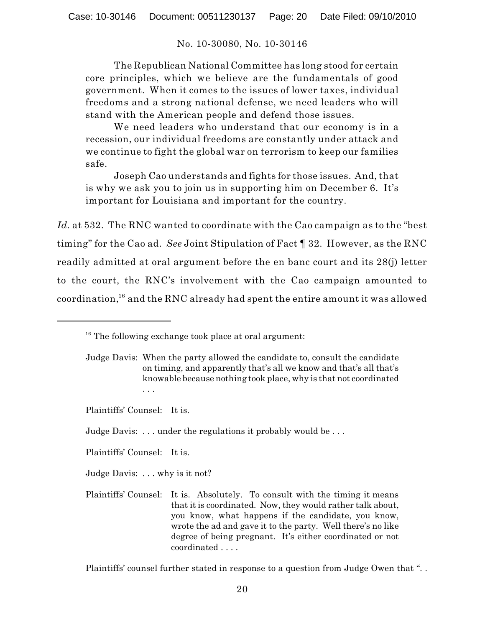The Republican National Committee has long stood for certain core principles, which we believe are the fundamentals of good government. When it comes to the issues of lower taxes, individual freedoms and a strong national defense, we need leaders who will stand with the American people and defend those issues.

We need leaders who understand that our economy is in a recession, our individual freedoms are constantly under attack and we continue to fight the global war on terrorism to keep our families safe.

Joseph Cao understands and fights for those issues. And, that is why we ask you to join us in supporting him on December 6. It's important for Louisiana and important for the country.

*Id.* at 532. The RNC wanted to coordinate with the Cao campaign as to the "best timing" for the Cao ad. *See* Joint Stipulation of Fact ¶ 32. However, as the RNC readily admitted at oral argument before the en banc court and its 28(j) letter to the court, the RNC's involvement with the Cao campaign amounted to coordination, $^{16}$  and the RNC already had spent the entire amount it was allowed

. . .

Plaintiffs' Counsel: It is.

Judge Davis: . . . why is it not?

Plaintiffs' Counsel: It is. Absolutely. To consult with the timing it means that it is coordinated. Now, they would rather talk about, you know, what happens if the candidate, you know, wrote the ad and gave it to the party. Well there's no like degree of being pregnant. It's either coordinated or not coordinated . . . .

Plaintiffs' counsel further stated in response to a question from Judge Owen that ". .

 $16$  The following exchange took place at oral argument:

Judge Davis: When the party allowed the candidate to, consult the candidate on timing, and apparently that's all we know and that's all that's knowable because nothing took place, why is that not coordinated

Plaintiffs' Counsel: It is.

Judge Davis: ... under the regulations it probably would be...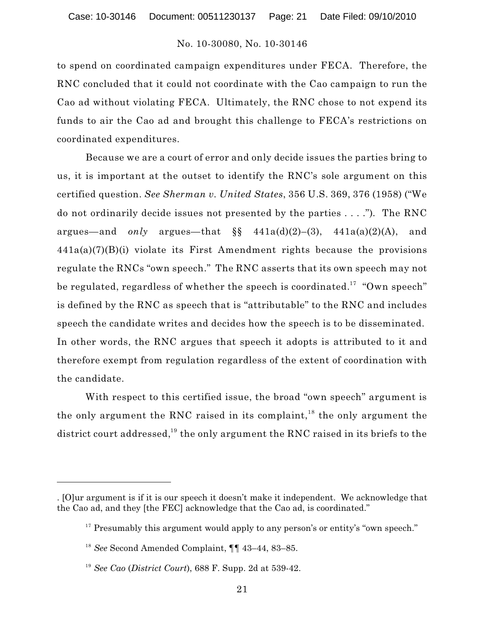to spend on coordinated campaign expenditures under FECA. Therefore, the RNC concluded that it could not coordinate with the Cao campaign to run the Cao ad without violating FECA. Ultimately, the RNC chose to not expend its funds to air the Cao ad and brought this challenge to FECA's restrictions on coordinated expenditures.

Because we are a court of error and only decide issues the parties bring to us, it is important at the outset to identify the RNC's sole argument on this certified question. *See Sherman v. United States*, 356 U.S. 369, 376 (1958) ("We do not ordinarily decide issues not presented by the parties . . . .")*.* The RNC argues—and *only* argues—that  $\S$ ,  $441a(d)(2)$ –(3),  $441a(a)(2)(A)$ , and 441a(a)(7)(B)(i) violate its First Amendment rights because the provisions regulate the RNCs "own speech." The RNC asserts that its own speech may not be regulated, regardless of whether the speech is coordinated. $^{17}$  "Own speech" is defined by the RNC as speech that is "attributable" to the RNC and includes speech the candidate writes and decides how the speech is to be disseminated. In other words, the RNC argues that speech it adopts is attributed to it and therefore exempt from regulation regardless of the extent of coordination with the candidate.

With respect to this certified issue, the broad "own speech" argument is the only argument the RNC raised in its complaint,<sup>18</sup> the only argument the district court addressed, $^{19}$  the only argument the RNC raised in its briefs to the

<sup>. [</sup>O]ur argument is if it is our speech it doesn't make it independent. We acknowledge that the Cao ad, and they [the FEC] acknowledge that the Cao ad, is coordinated."

<sup>&</sup>lt;sup>17</sup> Presumably this argument would apply to any person's or entity's "own speech."

<sup>&</sup>lt;sup>18</sup> See Second Amended Complaint,  $\P\P$  43–44, 83–85.

<sup>&</sup>lt;sup>19</sup> See Cao (*District Court*), 688 F. Supp. 2d at 539-42.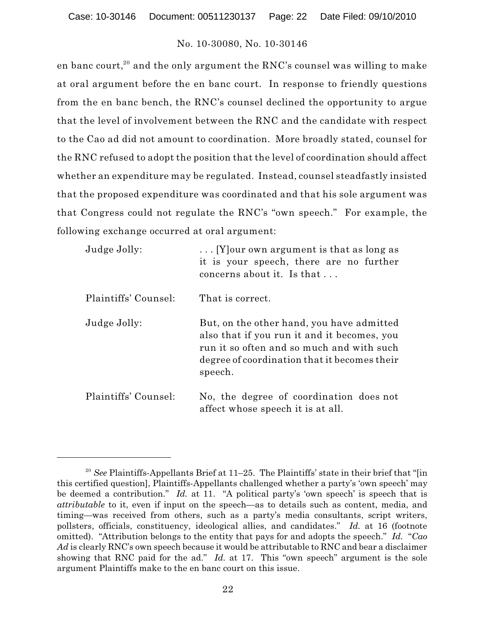en banc court, $^{\rm 20}$  and the only argument the RNC's counsel was willing to make at oral argument before the en banc court. In response to friendly questions from the en banc bench, the RNC's counsel declined the opportunity to argue that the level of involvement between the RNC and the candidate with respect to the Cao ad did not amount to coordination. More broadly stated, counsel for the RNC refused to adopt the position that the level of coordination should affect whether an expenditure may be regulated. Instead, counsel steadfastly insisted that the proposed expenditure was coordinated and that his sole argument was that Congress could not regulate the RNC's "own speech." For example, the following exchange occurred at oral argument:

| Judge Jolly:         | [Y] our own argument is that as long as<br>it is your speech, there are no further<br>concerns about it. Is that                                                                                 |
|----------------------|--------------------------------------------------------------------------------------------------------------------------------------------------------------------------------------------------|
| Plaintiffs' Counsel: | That is correct.                                                                                                                                                                                 |
| Judge Jolly:         | But, on the other hand, you have admitted<br>also that if you run it and it becomes, you<br>run it so often and so much and with such<br>degree of coordination that it becomes their<br>speech. |
| Plaintiffs' Counsel: | No, the degree of coordination does not<br>affect whose speech it is at all.                                                                                                                     |

<sup>&</sup>lt;sup>20</sup> See Plaintiffs-Appellants Brief at  $11-25$ . The Plaintiffs' state in their brief that "[in this certified question], Plaintiffs-Appellants challenged whether a party's 'own speech' may be deemed a contribution." *Id.* at 11. "A political party's 'own speech' is speech that is *attributable* to it, even if input on the speech—as to details such as content, media, and timing—was received from others, such as a party's media consultants, script writers, pollsters, officials, constituency, ideological allies, and candidates." *Id.* at 16 (footnote omitted). "Attribution belongs to the entity that pays for and adopts the speech." *Id.* "*Cao Ad* is clearly RNC's own speech because it would be attributable to RNC and bear a disclaimer showing that RNC paid for the ad." *Id.* at 17. This "own speech" argument is the sole argument Plaintiffs make to the en banc court on this issue.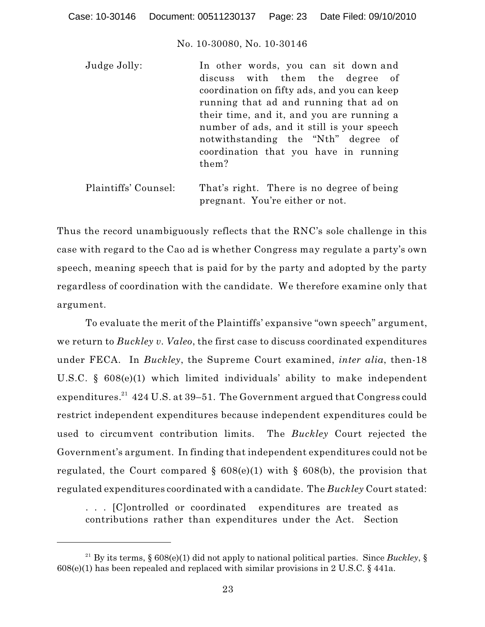| Judge Jolly: | In other words, you can sit down and        |
|--------------|---------------------------------------------|
|              | discuss with them the degree of             |
|              | coordination on fifty ads, and you can keep |
|              | running that ad and running that ad on      |
|              | their time, and it, and you are running a   |
|              | number of ads, and it still is your speech  |
|              | notwithstanding the "Nth" degree of         |
|              | coordination that you have in running       |
|              | them?                                       |
|              |                                             |

Plaintiffs' Counsel: That's right. There is no degree of being pregnant. You're either or not.

Thus the record unambiguously reflects that the RNC's sole challenge in this case with regard to the Cao ad is whether Congress may regulate a party's own speech, meaning speech that is paid for by the party and adopted by the party regardless of coordination with the candidate. We therefore examine only that argument.

To evaluate the merit of the Plaintiffs' expansive "own speech" argument, we return to *Buckley v. Valeo*, the first case to discuss coordinated expenditures under FECA. In *Buckley*, the Supreme Court examined, *inter alia*, then-18 U.S.C. § 608(e)(1) which limited individuals' ability to make independent expenditures. $^\mathrm{21}$  424 U.S. at 39–51. The Government argued that Congress could restrict independent expenditures because independent expenditures could be used to circumvent contribution limits. The *Buckley* Court rejected the Government's argument. In finding that independent expenditures could not be regulated, the Court compared §  $608(e)(1)$  with §  $608(b)$ , the provision that regulated expenditures coordinated with a candidate. The *Buckley* Court stated:

. . . [C]ontrolled or coordinated expenditures are treated as contributions rather than expenditures under the Act. Section

<sup>&</sup>lt;sup>21</sup> By its terms, § 608(e)(1) did not apply to national political parties. Since *Buckley*, § 608(e)(1) has been repealed and replaced with similar provisions in 2 U.S.C. § 441a.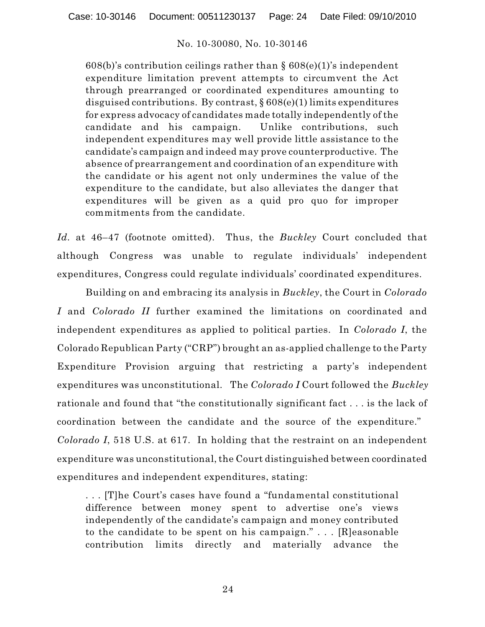$608(b)$ 's contribution ceilings rather than §  $608(e)(1)$ 's independent expenditure limitation prevent attempts to circumvent the Act through prearranged or coordinated expenditures amounting to disguised contributions. By contrast,  $\S 608(e)(1)$  limits expenditures for express advocacy of candidates made totally independently of the candidate and his campaign. Unlike contributions, such independent expenditures may well provide little assistance to the candidate's campaign and indeed may prove counterproductive. The absence of prearrangement and coordination of an expenditure with the candidate or his agent not only undermines the value of the expenditure to the candidate, but also alleviates the danger that expenditures will be given as a quid pro quo for improper commitments from the candidate.

*Id.* at 46–47 (footnote omitted). Thus, the *Buckley* Court concluded that although Congress was unable to regulate individuals' independent expenditures, Congress could regulate individuals' coordinated expenditures.

Building on and embracing its analysis in *Buckley*, the Court in *Colorado I* and *Colorado II* further examined the limitations on coordinated and independent expenditures as applied to political parties. In *Colorado I*, the Colorado Republican Party ("CRP") brought an as-applied challenge to the Party Expenditure Provision arguing that restricting a party's independent expenditures was unconstitutional. The *Colorado I* Court followed the *Buckley* rationale and found that "the constitutionally significant fact . . . is the lack of coordination between the candidate and the source of the expenditure." *Colorado I*, 518 U.S. at 617. In holding that the restraint on an independent expenditure was unconstitutional, the Court distinguished between coordinated expenditures and independent expenditures, stating:

. . . [T]he Court's cases have found a "fundamental constitutional difference between money spent to advertise one's views independently of the candidate's campaign and money contributed to the candidate to be spent on his campaign." . . . [R]easonable contribution limits directly and materially advance the

24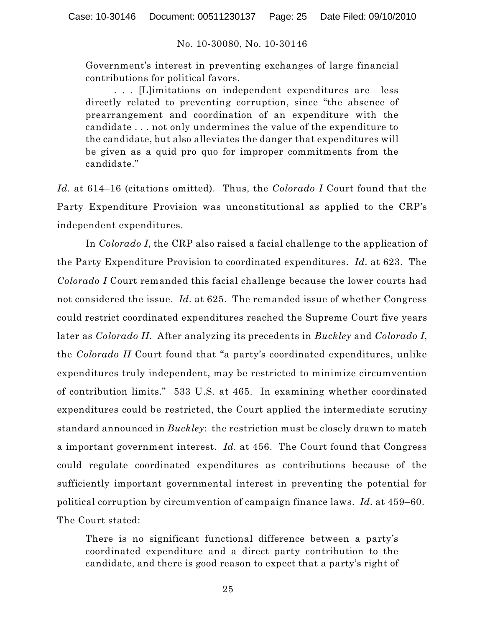Government's interest in preventing exchanges of large financial contributions for political favors.

. . . [L]imitations on independent expenditures are less directly related to preventing corruption, since "the absence of prearrangement and coordination of an expenditure with the candidate . . . not only undermines the value of the expenditure to the candidate, but also alleviates the danger that expenditures will be given as a quid pro quo for improper commitments from the candidate."

*Id.* at 614–16 (citations omitted). Thus, the *Colorado I* Court found that the Party Expenditure Provision was unconstitutional as applied to the CRP's independent expenditures.

In *Colorado I*, the CRP also raised a facial challenge to the application of the Party Expenditure Provision to coordinated expenditures. *Id.* at 623. The *Colorado I* Court remanded this facial challenge because the lower courts had not considered the issue. *Id.* at 625. The remanded issue of whether Congress could restrict coordinated expenditures reached the Supreme Court five years later as *Colorado II*. After analyzing its precedents in *Buckley* and *Colorado I*, the *Colorado II* Court found that "a party's coordinated expenditures, unlike expenditures truly independent, may be restricted to minimize circumvention of contribution limits." 533 U.S. at 465. In examining whether coordinated expenditures could be restricted, the Court applied the intermediate scrutiny standard announced in *Buckley*: the restriction must be closely drawn to match a important government interest. *Id.* at 456. The Court found that Congress could regulate coordinated expenditures as contributions because of the sufficiently important governmental interest in preventing the potential for political corruption by circumvention of campaign finance laws. *Id.* at 459–60. The Court stated:

There is no significant functional difference between a party's coordinated expenditure and a direct party contribution to the candidate, and there is good reason to expect that a party's right of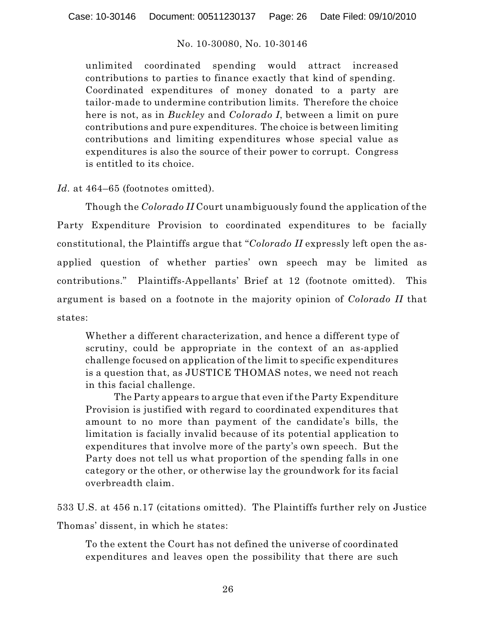unlimited coordinated spending would attract increased contributions to parties to finance exactly that kind of spending. Coordinated expenditures of money donated to a party are tailor-made to undermine contribution limits. Therefore the choice here is not, as in *Buckley* and *Colorado I*, between a limit on pure contributions and pure expenditures. The choice is between limiting contributions and limiting expenditures whose special value as expenditures is also the source of their power to corrupt. Congress is entitled to its choice.

Id. at 464–65 (footnotes omitted).

Though the *Colorado II* Court unambiguously found the application of the Party Expenditure Provision to coordinated expenditures to be facially constitutional, the Plaintiffs argue that "*Colorado II* expressly left open the asapplied question of whether parties' own speech may be limited as contributions." Plaintiffs-Appellants' Brief at 12 (footnote omitted). This argument is based on a footnote in the majority opinion of *Colorado II* that states:

Whether a different characterization, and hence a different type of scrutiny, could be appropriate in the context of an as-applied challenge focused on application of the limit to specific expenditures is a question that, as JUSTICE THOMAS notes, we need not reach in this facial challenge.

The Party appears to argue that even if the Party Expenditure Provision is justified with regard to coordinated expenditures that amount to no more than payment of the candidate's bills, the limitation is facially invalid because of its potential application to expenditures that involve more of the party's own speech. But the Party does not tell us what proportion of the spending falls in one category or the other, or otherwise lay the groundwork for its facial overbreadth claim.

533 U.S. at 456 n.17 (citations omitted). The Plaintiffs further rely on Justice Thomas' dissent, in which he states:

To the extent the Court has not defined the universe of coordinated expenditures and leaves open the possibility that there are such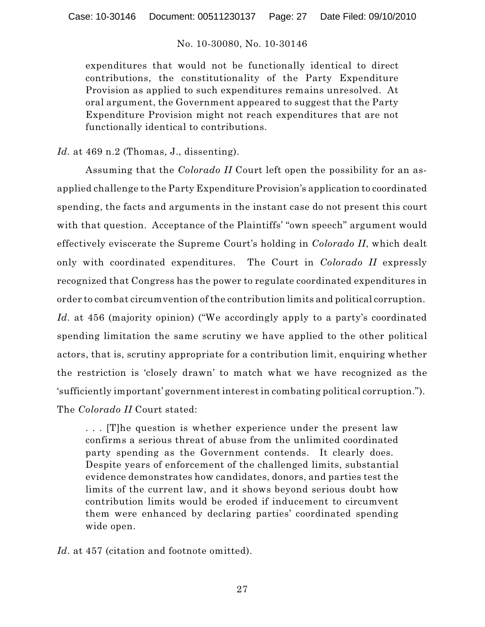expenditures that would not be functionally identical to direct contributions, the constitutionality of the Party Expenditure Provision as applied to such expenditures remains unresolved. At oral argument, the Government appeared to suggest that the Party Expenditure Provision might not reach expenditures that are not functionally identical to contributions.

*Id.* at 469 n.2 (Thomas, J., dissenting).

Assuming that the *Colorado II* Court left open the possibility for an asapplied challenge to the Party Expenditure Provision's application to coordinated spending, the facts and arguments in the instant case do not present this court with that question. Acceptance of the Plaintiffs' "own speech" argument would effectively eviscerate the Supreme Court's holding in *Colorado II*, which dealt only with coordinated expenditures. The Court in *Colorado II* expressly recognized that Congress has the power to regulate coordinated expenditures in order to combat circumvention of the contribution limits and political corruption. *Id.* at 456 (majority opinion) ("We accordingly apply to a party's coordinated spending limitation the same scrutiny we have applied to the other political actors, that is, scrutiny appropriate for a contribution limit, enquiring whether the restriction is 'closely drawn' to match what we have recognized as the 'sufficiently important' government interest in combating political corruption."). The *Colorado II* Court stated:

. . . [T]he question is whether experience under the present law confirms a serious threat of abuse from the unlimited coordinated party spending as the Government contends. It clearly does. Despite years of enforcement of the challenged limits, substantial evidence demonstrates how candidates, donors, and parties test the limits of the current law, and it shows beyond serious doubt how contribution limits would be eroded if inducement to circumvent them were enhanced by declaring parties' coordinated spending wide open.

Id. at 457 (citation and footnote omitted).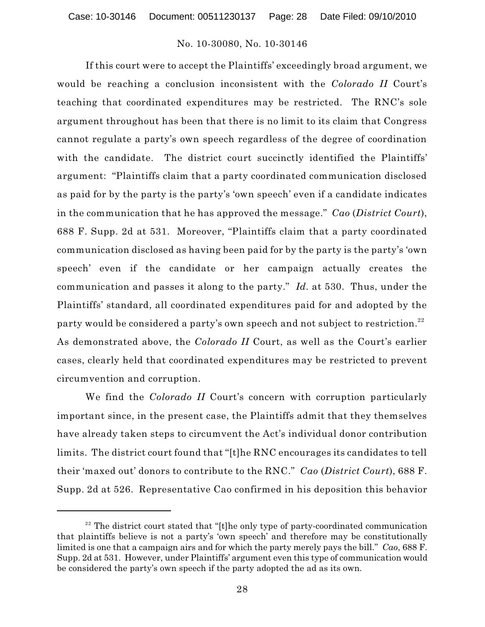If this court were to accept the Plaintiffs' exceedingly broad argument, we would be reaching a conclusion inconsistent with the *Colorado II* Court's teaching that coordinated expenditures may be restricted. The RNC's sole argument throughout has been that there is no limit to its claim that Congress cannot regulate a party's own speech regardless of the degree of coordination with the candidate. The district court succinctly identified the Plaintiffs' argument: "Plaintiffs claim that a party coordinated communication disclosed as paid for by the party is the party's 'own speech' even if a candidate indicates in the communication that he has approved the message." *Cao* (*District Court*), 688 F. Supp. 2d at 531. Moreover, "Plaintiffs claim that a party coordinated communication disclosed as having been paid for by the party is the party's 'own speech' even if the candidate or her campaign actually creates the communication and passes it along to the party." *Id.* at 530. Thus, under the Plaintiffs' standard, all coordinated expenditures paid for and adopted by the party would be considered a party's own speech and not subject to restriction. $^{\rm 22}$ As demonstrated above, the *Colorado II* Court, as well as the Court's earlier cases, clearly held that coordinated expenditures may be restricted to prevent circumvention and corruption.

We find the *Colorado II* Court's concern with corruption particularly important since, in the present case, the Plaintiffs admit that they themselves have already taken steps to circumvent the Act's individual donor contribution limits. The district court found that "[t]he RNC encourages its candidates to tell their 'maxed out' donors to contribute to the RNC." *Cao* (*District Court*), 688 F. Supp. 2d at 526. Representative Cao confirmed in his deposition this behavior

 $22$  The district court stated that "[t]he only type of party-coordinated communication that plaintiffs believe is not a party's 'own speech' and therefore may be constitutionally limited is one that a campaign airs and for which the party merely pays the bill." *Cao*, 688 F. Supp. 2d at 531. However, under Plaintiffs' argument even this type of communication would be considered the party's own speech if the party adopted the ad as its own.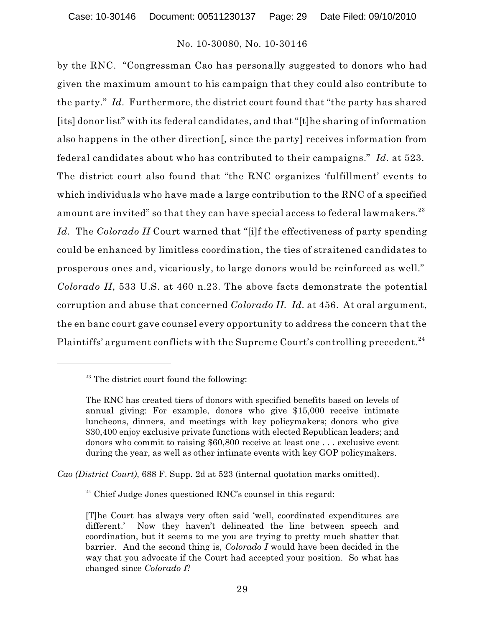by the RNC. "Congressman Cao has personally suggested to donors who had given the maximum amount to his campaign that they could also contribute to the party." *Id.* Furthermore, the district court found that "the party has shared [its] donor list" with its federal candidates, and that "[t]he sharing of information also happens in the other direction[, since the party] receives information from federal candidates about who has contributed to their campaigns." *Id.* at 523. The district court also found that "the RNC organizes 'fulfillment' events to which individuals who have made a large contribution to the RNC of a specified amount are invited" so that they can have special access to federal lawmakers. $^{\rm 23}$ *Id.* The *Colorado II* Court warned that "[i]f the effectiveness of party spending could be enhanced by limitless coordination, the ties of straitened candidates to prosperous ones and, vicariously, to large donors would be reinforced as well." *Colorado II*, 533 U.S. at 460 n.23. The above facts demonstrate the potential corruption and abuse that concerned *Colorado II. Id.* at 456. At oral argument, the en banc court gave counsel every opportunity to address the concern that the Plaintiffs' argument conflicts with the Supreme Court's controlling precedent.  $^{24}$ 

*Cao (District Court)*, 688 F. Supp. 2d at 523 (internal quotation marks omitted).

<sup>24</sup> Chief Judge Jones questioned RNC's counsel in this regard:

 $23$  The district court found the following:

The RNC has created tiers of donors with specified benefits based on levels of annual giving: For example, donors who give \$15,000 receive intimate luncheons, dinners, and meetings with key policymakers; donors who give \$30,400 enjoy exclusive private functions with elected Republican leaders; and donors who commit to raising \$60,800 receive at least one . . . exclusive event during the year, as well as other intimate events with key GOP policymakers.

<sup>[</sup>T]he Court has always very often said 'well, coordinated expenditures are different.' Now they haven't delineated the line between speech and coordination, but it seems to me you are trying to pretty much shatter that barrier. And the second thing is, *Colorado I* would have been decided in the way that you advocate if the Court had accepted your position. So what has changed since *Colorado I*?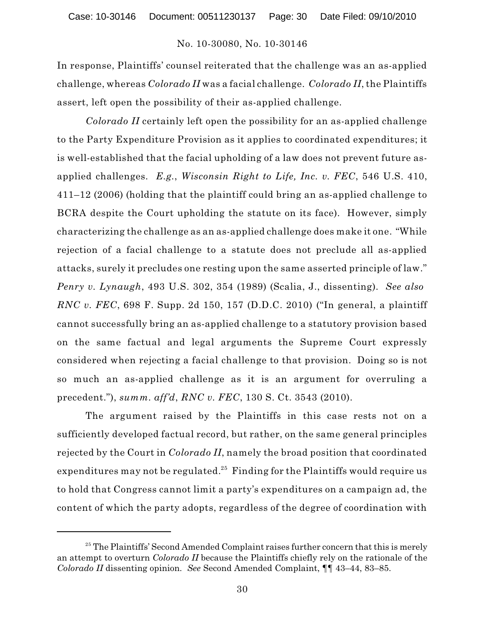In response, Plaintiffs' counsel reiterated that the challenge was an as-applied challenge, whereas *Colorado II* was a facial challenge. *Colorado II*, the Plaintiffs assert, left open the possibility of their as-applied challenge.

*Colorado II* certainly left open the possibility for an as-applied challenge to the Party Expenditure Provision as it applies to coordinated expenditures; it is well-established that the facial upholding of a law does not prevent future asapplied challenges. *E.g.*, *Wisconsin Right to Life, Inc. v. FEC*, 546 U.S. 410, 411–12 (2006) (holding that the plaintiff could bring an as-applied challenge to BCRA despite the Court upholding the statute on its face). However, simply characterizing the challenge as an as-applied challenge does make it one. "While rejection of a facial challenge to a statute does not preclude all as-applied attacks, surely it precludes one resting upon the same asserted principle of law." *Penry v. Lynaugh*, 493 U.S. 302, 354 (1989) (Scalia, J., dissenting). *See also RNC v. FEC*, 698 F. Supp. 2d 150, 157 (D.D.C. 2010) ("In general, a plaintiff cannot successfully bring an as-applied challenge to a statutory provision based on the same factual and legal arguments the Supreme Court expressly considered when rejecting a facial challenge to that provision. Doing so is not so much an as-applied challenge as it is an argument for overruling a precedent."), *summ. aff'd*, *RNC v. FEC*, 130 S. Ct. 3543 (2010).

The argument raised by the Plaintiffs in this case rests not on a sufficiently developed factual record, but rather, on the same general principles rejected by the Court in *Colorado II*, namely the broad position that coordinated expenditures may not be regulated. $^{25}\,$  Finding for the Plaintiffs would require us to hold that Congress cannot limit a party's expenditures on a campaign ad, the content of which the party adopts, regardless of the degree of coordination with

 $25$  The Plaintiffs' Second Amended Complaint raises further concern that this is merely an attempt to overturn *Colorado II* because the Plaintiffs chiefly rely on the rationale of the *Colorado II* dissenting opinion. *See* Second Amended Complaint, ¶¶ 43–44, 83–85.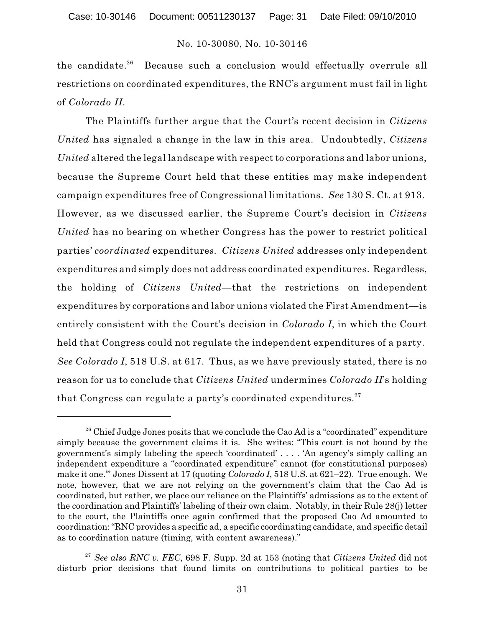Because such a conclusion would effectually overrule all the candidate. $26$ restrictions on coordinated expenditures, the RNC's argument must fail in light of *Colorado II*.

The Plaintiffs further argue that the Court's recent decision in *Citizens United* has signaled a change in the law in this area. Undoubtedly, *Citizens United* altered the legal landscape with respect to corporations and labor unions, because the Supreme Court held that these entities may make independent campaign expenditures free of Congressional limitations. *See* 130 S. Ct. at 913. However, as we discussed earlier, the Supreme Court's decision in *Citizens United* has no bearing on whether Congress has the power to restrict political parties' *coordinated* expenditure*s. Citizens United* addresses only independent expenditures and simply does not address coordinated expenditures. Regardless, the holding of *Citizens United*—that the restrictions on independent expenditures by corporations and labor unions violated the First Amendment—is entirely consistent with the Court's decision in *Colorado I*, in which the Court held that Congress could not regulate the independent expenditures of a party. *See Colorado I*, 518 U.S. at 617. Thus, as we have previously stated, there is no reason for us to conclude that *Citizens United* undermines *Colorado II*'s holding that Congress can regulate a party's coordinated expenditures. 27

 $2<sup>8</sup>$  Chief Judge Jones posits that we conclude the Cao Ad is a "coordinated" expenditure simply because the government claims it is. She writes: "This court is not bound by the government's simply labeling the speech 'coordinated' . . . . 'An agency's simply calling an independent expenditure a "coordinated expenditure" cannot (for constitutional purposes) make it one.'" Jones Dissent at 17 (quoting *Colorado I*, 518 U.S. at 621–22). True enough. We note, however, that we are not relying on the government's claim that the Cao Ad is coordinated, but rather, we place our reliance on the Plaintiffs' admissions as to the extent of the coordination and Plaintiffs' labeling of their own claim. Notably, in their Rule 28(j) letter to the court, the Plaintiffs once again confirmed that the proposed Cao Ad amounted to coordination:"RNC provides a specific ad, a specific coordinating candidate, and specific detail as to coordination nature (timing, with content awareness)."

 $^{27}$  *See also RNC v. FEC*, 698 F. Supp. 2d at 153 (noting that *Citizens United* did not disturb prior decisions that found limits on contributions to political parties to be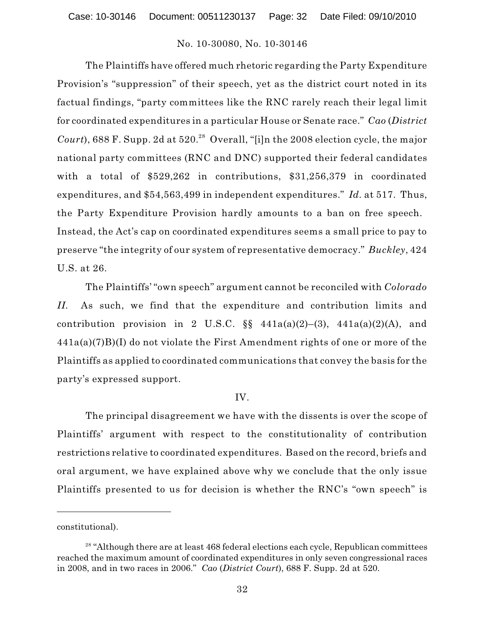The Plaintiffs have offered much rhetoric regarding the Party Expenditure Provision's "suppression" of their speech, yet as the district court noted in its factual findings, "party committees like the RNC rarely reach their legal limit for coordinated expenditures in a particular House or Senate race." *Cao* (*District* Court), 688 F. Supp. 2d at  $520.^{28}$  Overall, "[i]n the 2008 election cycle, the major national party committees (RNC and DNC) supported their federal candidates with a total of \$529,262 in contributions, \$31,256,379 in coordinated expenditures, and \$54,563,499 in independent expenditures." *Id.* at 517. Thus, the Party Expenditure Provision hardly amounts to a ban on free speech. Instead, the Act's cap on coordinated expenditures seems a small price to pay to preserve "the integrity of our system of representative democracy." *Buckley*, 424 U.S. at 26.

The Plaintiffs' "own speech" argument cannot be reconciled with *Colorado II*. As such, we find that the expenditure and contribution limits and contribution provision in 2 U.S.C.  $\S$  441a(a)(2)–(3), 441a(a)(2)(A), and 441a(a)(7)B)(I) do not violate the First Amendment rights of one or more of the Plaintiffs as applied to coordinated communications that convey the basis for the party's expressed support.

# IV.

The principal disagreement we have with the dissents is over the scope of Plaintiffs' argument with respect to the constitutionality of contribution restrictions relative to coordinated expenditures. Based on the record, briefs and oral argument, we have explained above why we conclude that the only issue Plaintiffs presented to us for decision is whether the RNC's "own speech" is

constitutional).

 $28$  "Although there are at least 468 federal elections each cycle, Republican committees reached the maximum amount of coordinated expenditures in only seven congressional races in 2008, and in two races in 2006." *Cao* (*District Court*), 688 F. Supp. 2d at 520.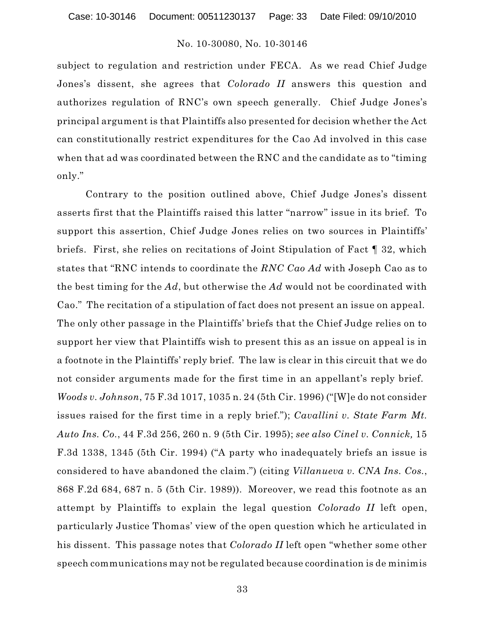subject to regulation and restriction under FECA. As we read Chief Judge Jones's dissent, she agrees that *Colorado II* answers this question and authorizes regulation of RNC's own speech generally. Chief Judge Jones's principal argument is that Plaintiffs also presented for decision whether the Act can constitutionally restrict expenditures for the Cao Ad involved in this case when that ad was coordinated between the RNC and the candidate as to "timing only."

Contrary to the position outlined above, Chief Judge Jones's dissent asserts first that the Plaintiffs raised this latter "narrow" issue in its brief. To support this assertion, Chief Judge Jones relies on two sources in Plaintiffs' briefs. First, she relies on recitations of Joint Stipulation of Fact ¶ 32, which states that "RNC intends to coordinate the *RNC Cao Ad* with Joseph Cao as to the best timing for the *Ad*, but otherwise the *Ad* would not be coordinated with Cao." The recitation of a stipulation of fact does not present an issue on appeal. The only other passage in the Plaintiffs' briefs that the Chief Judge relies on to support her view that Plaintiffs wish to present this as an issue on appeal is in a footnote in the Plaintiffs' reply brief. The law is clear in this circuit that we do not consider arguments made for the first time in an appellant's reply brief. *Woods v. Johnson*, 75 F.3d 1017, 1035 n. 24 (5th Cir. 1996) ("[W]e do not consider issues raised for the first time in a reply brief."); *Cavallini v. State Farm Mt. Auto Ins. Co.*, 44 F.3d 256, 260 n. 9 (5th Cir. 1995); *see also Cinel v. Connick,* 15 F.3d 1338, 1345 (5th Cir. 1994) ("A party who inadequately briefs an issue is considered to have abandoned the claim.") (citing *Villanueva v. CNA Ins. Cos.*, 868 F.2d 684, 687 n. 5 (5th Cir. 1989)). Moreover, we read this footnote as an attempt by Plaintiffs to explain the legal question *Colorado II* left open, particularly Justice Thomas' view of the open question which he articulated in his dissent. This passage notes that *Colorado II* left open "whether some other speech communications may not be regulated because coordination is de minimis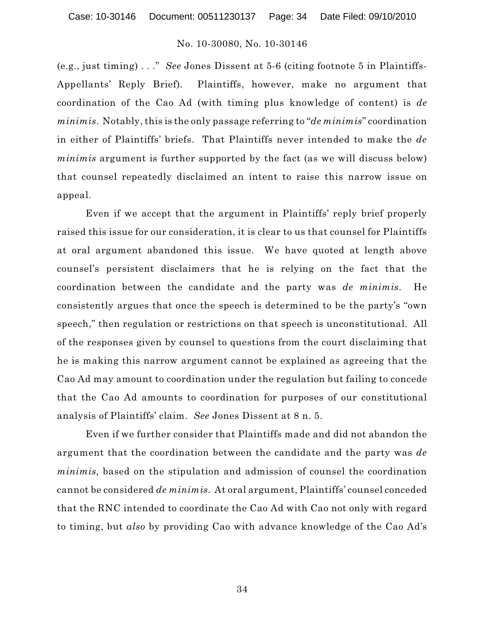(e.g., just timing) . . ." *See* Jones Dissent at 5-6 (citing footnote 5 in Plaintiffs-Appellants' Reply Brief). Plaintiffs, however, make no argument that coordination of the Cao Ad (with timing plus knowledge of content) is *de minimis*. Notably, this is the only passage referring to "*de minimis*" coordination in either of Plaintiffs' briefs. That Plaintiffs never intended to make the *de minimis* argument is further supported by the fact (as we will discuss below) that counsel repeatedly disclaimed an intent to raise this narrow issue on appeal.

Even if we accept that the argument in Plaintiffs' reply brief properly raised this issue for our consideration, it is clear to us that counsel for Plaintiffs at oral argument abandoned this issue. We have quoted at length above counsel's persistent disclaimers that he is relying on the fact that the coordination between the candidate and the party was *de minimis*. He consistently argues that once the speech is determined to be the party's "own speech," then regulation or restrictions on that speech is unconstitutional. All of the responses given by counsel to questions from the court disclaiming that he is making this narrow argument cannot be explained as agreeing that the Cao Ad may amount to coordination under the regulation but failing to concede that the Cao Ad amounts to coordination for purposes of our constitutional analysis of Plaintiffs' claim. *See* Jones Dissent at 8 n. 5.

Even if we further consider that Plaintiffs made and did not abandon the argument that the coordination between the candidate and the party was *de minimis,* based on the stipulation and admission of counsel the coordination cannot be considered *de minimis*. At oral argument, Plaintiffs' counsel conceded that the RNC intended to coordinate the Cao Ad with Cao not only with regard to timing, but *also* by providing Cao with advance knowledge of the Cao Ad's

34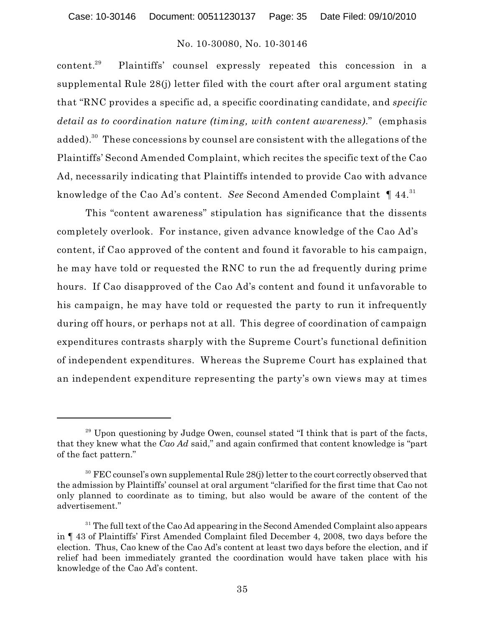Plaintiffs' counsel expressly repeated this concession in a  $content.<sup>29</sup>$ supplemental Rule 28(j) letter filed with the court after oral argument stating that "RNC provides a specific ad, a specific coordinating candidate, and *specific detail as to coordination nature (timing, with content awareness)*." (emphasis added). $^{\rm 30}$  These concessions by counsel are consistent with the allegations of the Plaintiffs' Second Amended Complaint, which recites the specific text of the Cao Ad, necessarily indicating that Plaintiffs intended to provide Cao with advance knowledge of the Cao Ad's content. *See* Second Amended Complaint ¶ 44. 31

This "content awareness" stipulation has significance that the dissents completely overlook. For instance, given advance knowledge of the Cao Ad's content, if Cao approved of the content and found it favorable to his campaign, he may have told or requested the RNC to run the ad frequently during prime hours. If Cao disapproved of the Cao Ad's content and found it unfavorable to his campaign, he may have told or requested the party to run it infrequently during off hours, or perhaps not at all. This degree of coordination of campaign expenditures contrasts sharply with the Supreme Court's functional definition of independent expenditures. Whereas the Supreme Court has explained that an independent expenditure representing the party's own views may at times

<sup>&</sup>lt;sup>29</sup> Upon questioning by Judge Owen, counsel stated "I think that is part of the facts, that they knew what the *Cao Ad* said," and again confirmed that content knowledge is "part of the fact pattern."

 $30$  FEC counsel's own supplemental Rule 28(j) letter to the court correctly observed that the admission by Plaintiffs' counsel at oral argument "clarified for the first time that Cao not only planned to coordinate as to timing, but also would be aware of the content of the advertisement."

 $31$  The full text of the Cao Ad appearing in the Second Amended Complaint also appears in ¶ 43 of Plaintiffs' First Amended Complaint filed December 4, 2008, two days before the election. Thus, Cao knew of the Cao Ad's content at least two days before the election, and if relief had been immediately granted the coordination would have taken place with his knowledge of the Cao Ad's content.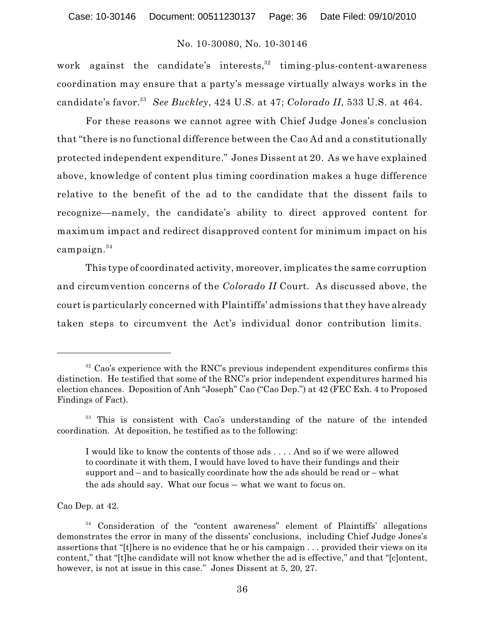work against the candidate's interests,  $32$  timing-plus-content-awareness coordination may ensure that a party's message virtually always works in the candidate's favor.<sup>33</sup> *See Buckley*, 424 U.S. at 47; *Colorado II*, 533 U.S. at 464.

For these reasons we cannot agree with Chief Judge Jones's conclusion that "there is no functional difference between the Cao Ad and a constitutionally protected independent expenditure." Jones Dissent at 20. As we have explained above, knowledge of content plus timing coordination makes a huge difference relative to the benefit of the ad to the candidate that the dissent fails to recognize—namely, the candidate's ability to direct approved content for maximum impact and redirect disapproved content for minimum impact on his campaign. 34

This type of coordinated activity, moreover, implicates the same corruption and circumvention concerns of the *Colorado II* Court*.* As discussed above, the court is particularly concerned with Plaintiffs' admissions that they have already taken steps to circumvent the Act's individual donor contribution limits.

Cao Dep. at 42.

 $32$  Cao's experience with the RNC's previous independent expenditures confirms this distinction. He testified that some of the RNC's prior independent expenditures harmed his election chances. Deposition of Anh "Joseph" Cao ("Cao Dep.") at 42 (FEC Exh. 4 to Proposed Findings of Fact).

<sup>&</sup>lt;sup>33</sup> This is consistent with Cao's understanding of the nature of the intended coordination. At deposition, he testified as to the following:

I would like to know the contents of those ads . . . . And so if we were allowed to coordinate it with them, I would have loved to have their fundings and their support and – and to basically coordinate how the ads should be read or – what the ads should say. What our focus – what we want to focus on.

<sup>&</sup>lt;sup>34</sup> Consideration of the "content awareness" element of Plaintiffs' allegations demonstrates the error in many of the dissents' conclusions, including Chief Judge Jones's assertions that "[t]here is no evidence that he or his campaign . . . provided their views on its content," that "[t]he candidate will not know whether the ad is effective," and that "[c]ontent, however, is not at issue in this case." Jones Dissent at 5, 20, 27.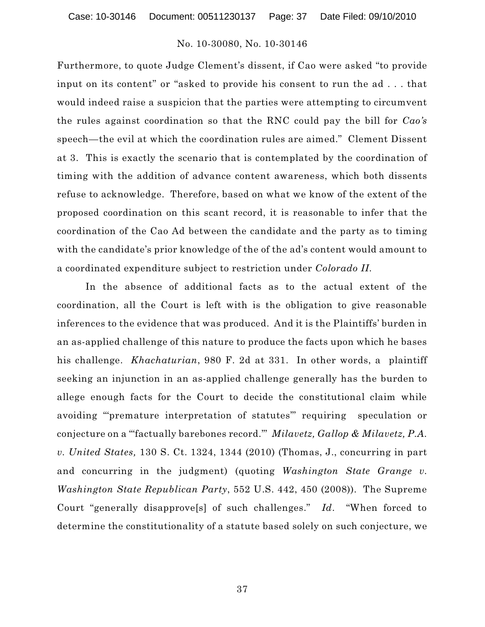Furthermore, to quote Judge Clement's dissent, if Cao were asked "to provide input on its content" or "asked to provide his consent to run the ad . . . that would indeed raise a suspicion that the parties were attempting to circumvent the rules against coordination so that the RNC could pay the bill for *Cao's* speech—the evil at which the coordination rules are aimed." Clement Dissent at 3. This is exactly the scenario that is contemplated by the coordination of timing with the addition of advance content awareness, which both dissents refuse to acknowledge. Therefore, based on what we know of the extent of the proposed coordination on this scant record, it is reasonable to infer that the coordination of the Cao Ad between the candidate and the party as to timing with the candidate's prior knowledge of the of the ad's content would amount to a coordinated expenditure subject to restriction under *Colorado II*.

In the absence of additional facts as to the actual extent of the coordination, all the Court is left with is the obligation to give reasonable inferences to the evidence that was produced. And it is the Plaintiffs' burden in an as-applied challenge of this nature to produce the facts upon which he bases his challenge. *Khachaturian*, 980 F. 2d at 331. In other words, a plaintiff seeking an injunction in an as-applied challenge generally has the burden to allege enough facts for the Court to decide the constitutional claim while avoiding "'premature interpretation of statutes'" requiring speculation or conjecture on a "'factually barebones record.'" *Milavetz, Gallop & Milavetz, P.A. v. United States,* 130 S. Ct. 1324, 1344 (2010) (Thomas, J., concurring in part and concurring in the judgment) (quoting *Washington State Grange v. Washington State Republican Party*, 552 U.S. 442, 450 (2008)). The Supreme Court "generally disapprove[s] of such challenges." *Id*. "When forced to determine the constitutionality of a statute based solely on such conjecture, we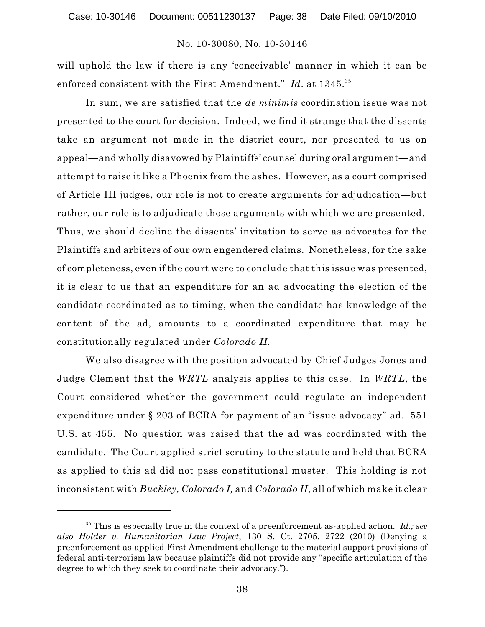will uphold the law if there is any 'conceivable' manner in which it can be enforced consistent with the First Amendment." *Id*. at 1345. 35

In sum, we are satisfied that the *de minimis* coordination issue was not presented to the court for decision. Indeed, we find it strange that the dissents take an argument not made in the district court, nor presented to us on appeal—and wholly disavowed by Plaintiffs' counsel during oral argument—and attempt to raise it like a Phoenix from the ashes. However, as a court comprised of Article III judges, our role is not to create arguments for adjudication—but rather, our role is to adjudicate those arguments with which we are presented. Thus, we should decline the dissents' invitation to serve as advocates for the Plaintiffs and arbiters of our own engendered claims. Nonetheless, for the sake of completeness, even if the court were to conclude that this issue was presented, it is clear to us that an expenditure for an ad advocating the election of the candidate coordinated as to timing, when the candidate has knowledge of the content of the ad, amounts to a coordinated expenditure that may be constitutionally regulated under *Colorado II.*

We also disagree with the position advocated by Chief Judges Jones and Judge Clement that the *WRTL* analysis applies to this case. In *WRTL*, the Court considered whether the government could regulate an independent expenditure under § 203 of BCRA for payment of an "issue advocacy" ad. 551 U.S. at 455. No question was raised that the ad was coordinated with the candidate. The Court applied strict scrutiny to the statute and held that BCRA as applied to this ad did not pass constitutional muster. This holding is not inconsistent with *Buckley, Colorado I,* and *Colorado II*, all of which make it clear

<sup>&</sup>lt;sup>35</sup> This is especially true in the context of a preenforcement as-applied action. *Id.;* see *also Holder v. Humanitarian Law Project*, 130 S. Ct. 2705, 2722 (2010) (Denying a preenforcement as-applied First Amendment challenge to the material support provisions of federal anti-terrorism law because plaintiffs did not provide any "specific articulation of the degree to which they seek to coordinate their advocacy.").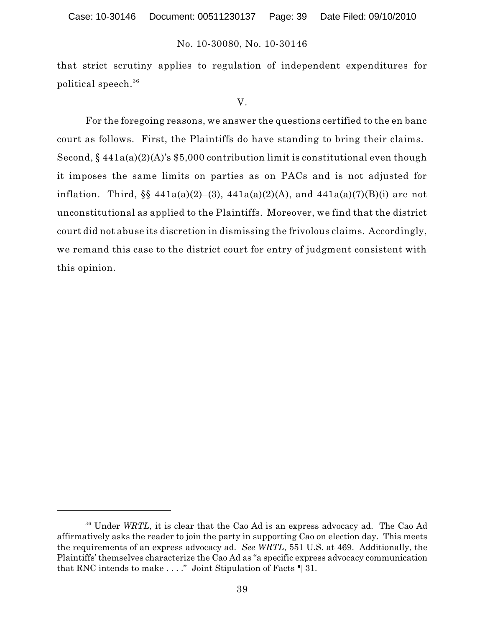that strict scrutiny applies to regulation of independent expenditures for political speech. 36

### V.

For the foregoing reasons, we answer the questions certified to the en banc court as follows. First, the Plaintiffs do have standing to bring their claims. Second,  $\S 441a(a)(2)(A)$ 's \$5,000 contribution limit is constitutional even though it imposes the same limits on parties as on PACs and is not adjusted for inflation. Third,  $\S \ \ 441a(a)(2)-(3)$ ,  $441a(a)(2)(A)$ , and  $441a(a)(7)(B)(i)$  are not unconstitutional as applied to the Plaintiffs. Moreover, we find that the district court did not abuse its discretion in dismissing the frivolous claims. Accordingly, we remand this case to the district court for entry of judgment consistent with this opinion.

<sup>&</sup>lt;sup>36</sup> Under *WRTL*, it is clear that the Cao Ad is an express advocacy ad. The Cao Ad affirmatively asks the reader to join the party in supporting Cao on election day. This meets the requirements of an express advocacy ad. *See WRTL*, 551 U.S. at 469. Additionally, the Plaintiffs' themselves characterize the Cao Ad as "a specific express advocacy communication that RNC intends to make . . . ." Joint Stipulation of Facts ¶ 31.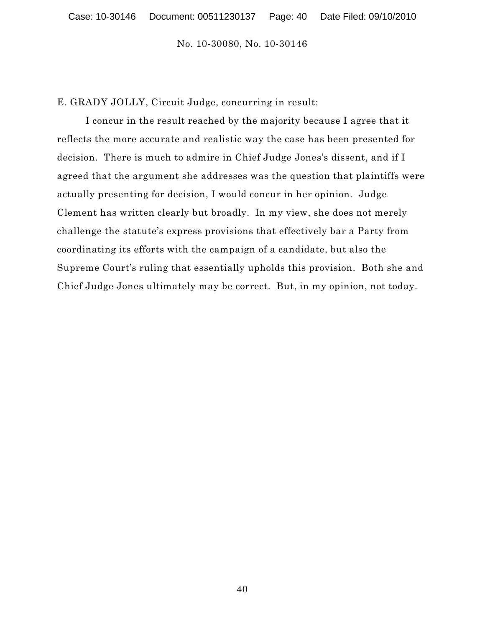E. GRADY JOLLY, Circuit Judge, concurring in result:

I concur in the result reached by the majority because I agree that it reflects the more accurate and realistic way the case has been presented for decision. There is much to admire in Chief Judge Jones's dissent, and if I agreed that the argument she addresses was the question that plaintiffs were actually presenting for decision, I would concur in her opinion. Judge Clement has written clearly but broadly. In my view, she does not merely challenge the statute's express provisions that effectively bar a Party from coordinating its efforts with the campaign of a candidate, but also the Supreme Court's ruling that essentially upholds this provision. Both she and Chief Judge Jones ultimately may be correct. But, in my opinion, not today.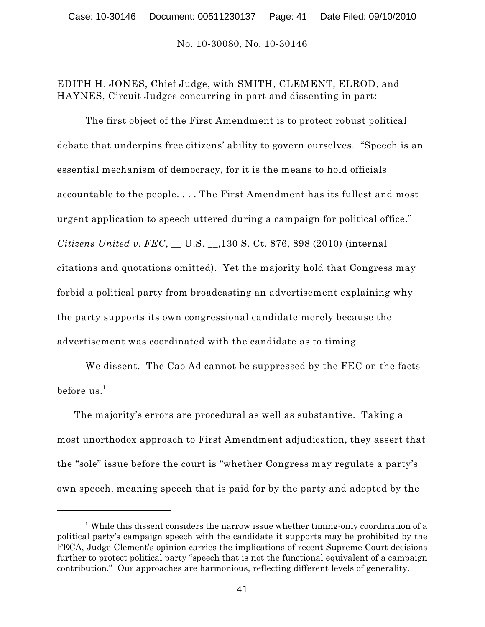# EDITH H. JONES, Chief Judge, with SMITH, CLEMENT, ELROD, and HAYNES, Circuit Judges concurring in part and dissenting in part:

The first object of the First Amendment is to protect robust political debate that underpins free citizens' ability to govern ourselves. "Speech is an essential mechanism of democracy, for it is the means to hold officials accountable to the people. . . . The First Amendment has its fullest and most urgent application to speech uttered during a campaign for political office." *Citizens United v. FEC*, \_\_ U.S. \_\_,130 S. Ct. 876, 898 (2010) (internal citations and quotations omitted). Yet the majority hold that Congress may forbid a political party from broadcasting an advertisement explaining why the party supports its own congressional candidate merely because the advertisement was coordinated with the candidate as to timing.

We dissent. The Cao Ad cannot be suppressed by the FEC on the facts  $\mathrm{before} \; \mathrm{us.}^1$ 

The majority's errors are procedural as well as substantive. Taking a most unorthodox approach to First Amendment adjudication, they assert that the "sole" issue before the court is "whether Congress may regulate a party's own speech, meaning speech that is paid for by the party and adopted by the

<sup>&</sup>lt;sup> $1$ </sup> While this dissent considers the narrow issue whether timing-only coordination of a political party's campaign speech with the candidate it supports may be prohibited by the FECA, Judge Clement's opinion carries the implications of recent Supreme Court decisions further to protect political party "speech that is not the functional equivalent of a campaign contribution." Our approaches are harmonious, reflecting different levels of generality.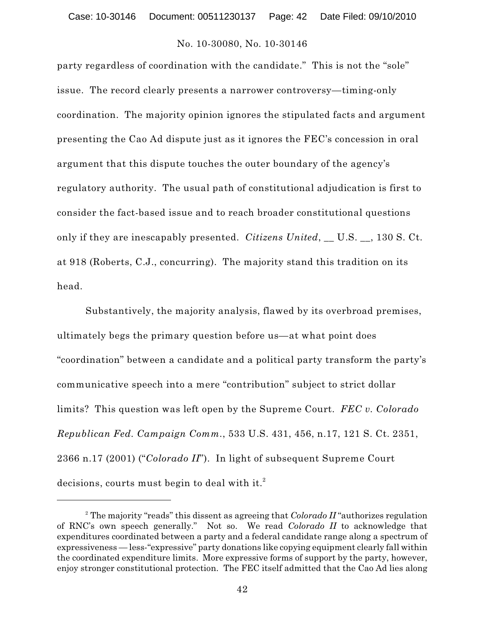party regardless of coordination with the candidate." This is not the "sole" issue. The record clearly presents a narrower controversy—timing-only coordination. The majority opinion ignores the stipulated facts and argument presenting the Cao Ad dispute just as it ignores the FEC's concession in oral argument that this dispute touches the outer boundary of the agency's regulatory authority. The usual path of constitutional adjudication is first to consider the fact-based issue and to reach broader constitutional questions only if they are inescapably presented. *Citizens United*, \_\_ U.S. \_\_, 130 S. Ct. at 918 (Roberts, C.J., concurring). The majority stand this tradition on its head.

Substantively, the majority analysis, flawed by its overbroad premises, ultimately begs the primary question before us—at what point does "coordination" between a candidate and a political party transform the party's communicative speech into a mere "contribution" subject to strict dollar limits? This question was left open by the Supreme Court. *FEC v. Colorado Republican Fed. Campaign Comm.*, 533 U.S. 431, 456, n.17, 121 S. Ct. 2351, 2366 n.17 (2001) ("*Colorado II*"). In light of subsequent Supreme Court decisions, courts must begin to deal with it. 2

 $^2$  The majority "reads" this dissent as agreeing that  $Colorado$   $II$  "authorizes regulation of RNC's own speech generally." Not so. We read *Colorado II* to acknowledge that expenditures coordinated between a party and a federal candidate range along a spectrum of expressiveness — less-"expressive" party donations like copying equipment clearly fall within the coordinated expenditure limits. More expressive forms of support by the party, however, enjoy stronger constitutional protection. The FEC itself admitted that the Cao Ad lies along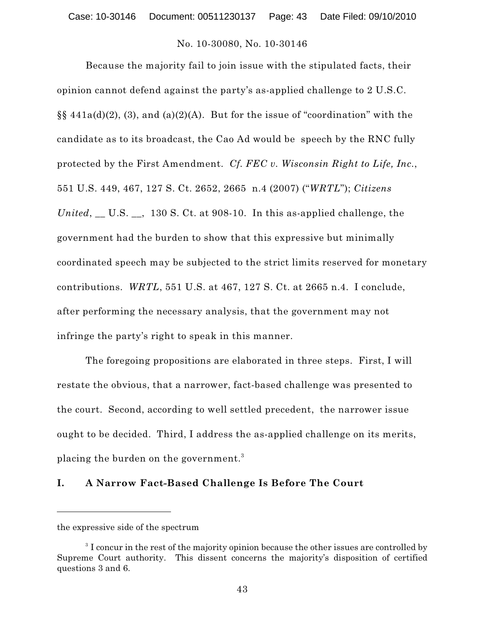Because the majority fail to join issue with the stipulated facts, their opinion cannot defend against the party's as-applied challenge to 2 U.S.C.  $\S$ §441a(d)(2), (3), and (a)(2)(A). But for the issue of "coordination" with the candidate as to its broadcast, the Cao Ad would be speech by the RNC fully protected by the First Amendment. *Cf. FEC v. Wisconsin Right to Life, Inc.*, 551 U.S. 449, 467, 127 S. Ct. 2652, 2665 n.4 (2007) ("*WRTL*"); *Citizens United*, \_\_ U.S. \_\_, 130 S. Ct. at 908-10. In this as-applied challenge, the government had the burden to show that this expressive but minimally coordinated speech may be subjected to the strict limits reserved for monetary contributions. *WRTL*, 551 U.S. at 467, 127 S. Ct. at 2665 n.4. I conclude, after performing the necessary analysis, that the government may not infringe the party's right to speak in this manner.

The foregoing propositions are elaborated in three steps. First, I will restate the obvious, that a narrower, fact-based challenge was presented to the court. Second, according to well settled precedent, the narrower issue ought to be decided. Third, I address the as-applied challenge on its merits, placing the burden on the government. $^3$ 

## **I. A Narrow Fact-Based Challenge Is Before The Court**

the expressive side of the spectrum

<sup>&</sup>lt;sup>3</sup> I concur in the rest of the majority opinion because the other issues are controlled by Supreme Court authority. This dissent concerns the majority's disposition of certified questions 3 and 6.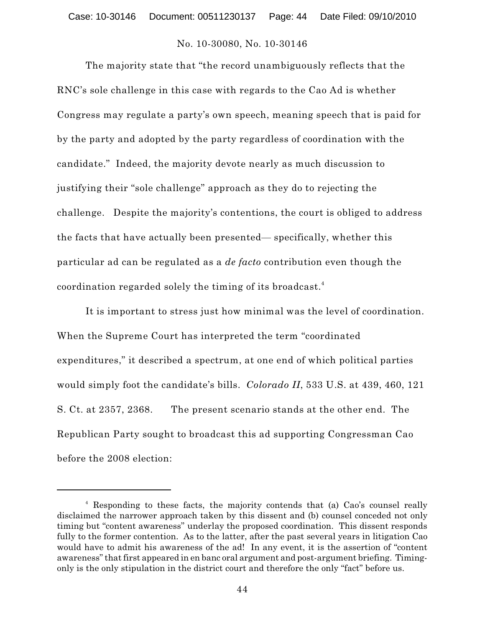The majority state that "the record unambiguously reflects that the RNC's sole challenge in this case with regards to the Cao Ad is whether Congress may regulate a party's own speech, meaning speech that is paid for by the party and adopted by the party regardless of coordination with the candidate." Indeed, the majority devote nearly as much discussion to justifying their "sole challenge" approach as they do to rejecting the challenge. Despite the majority's contentions, the court is obliged to address the facts that have actually been presented— specifically, whether this particular ad can be regulated as a *de facto* contribution even though the coordination regarded solely the timing of its broadcast. 4

It is important to stress just how minimal was the level of coordination. When the Supreme Court has interpreted the term "coordinated expenditures," it described a spectrum, at one end of which political parties would simply foot the candidate's bills. *Colorado II*, 533 U.S. at 439, 460, 121 S. Ct. at 2357, 2368. The present scenario stands at the other end. The Republican Party sought to broadcast this ad supporting Congressman Cao before the 2008 election:

<sup>&</sup>lt;sup>4</sup> Responding to these facts, the majority contends that (a) Cao's counsel really disclaimed the narrower approach taken by this dissent and (b) counsel conceded not only timing but "content awareness" underlay the proposed coordination. This dissent responds fully to the former contention. As to the latter, after the past several years in litigation Cao would have to admit his awareness of the ad! In any event, it is the assertion of "content awareness" that first appeared in en banc oral argument and post-argument briefing. Timingonly is the only stipulation in the district court and therefore the only "fact" before us.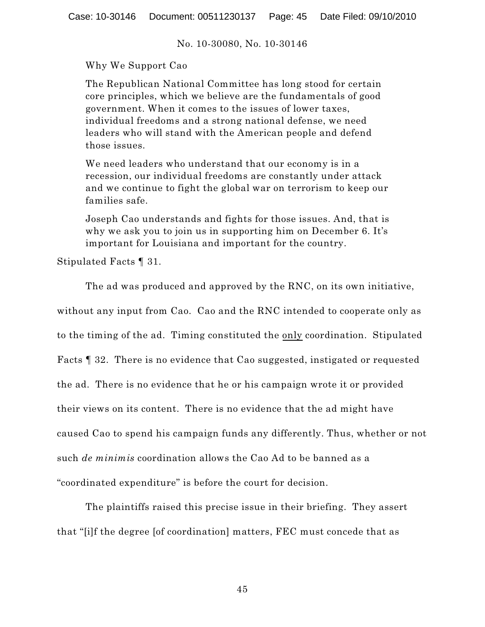Why We Support Cao

The Republican National Committee has long stood for certain core principles, which we believe are the fundamentals of good government. When it comes to the issues of lower taxes, individual freedoms and a strong national defense, we need leaders who will stand with the American people and defend those issues.

We need leaders who understand that our economy is in a recession, our individual freedoms are constantly under attack and we continue to fight the global war on terrorism to keep our families safe.

Joseph Cao understands and fights for those issues. And, that is why we ask you to join us in supporting him on December 6. It's important for Louisiana and important for the country.

Stipulated Facts ¶ 31.

The ad was produced and approved by the RNC, on its own initiative,

without any input from Cao. Cao and the RNC intended to cooperate only as to the timing of the ad. Timing constituted the only coordination. Stipulated Facts ¶ 32. There is no evidence that Cao suggested, instigated or requested the ad. There is no evidence that he or his campaign wrote it or provided their views on its content. There is no evidence that the ad might have caused Cao to spend his campaign funds any differently. Thus, whether or not such *de minimis* coordination allows the Cao Ad to be banned as a "coordinated expenditure" is before the court for decision.

The plaintiffs raised this precise issue in their briefing. They assert that "[i]f the degree [of coordination] matters, FEC must concede that as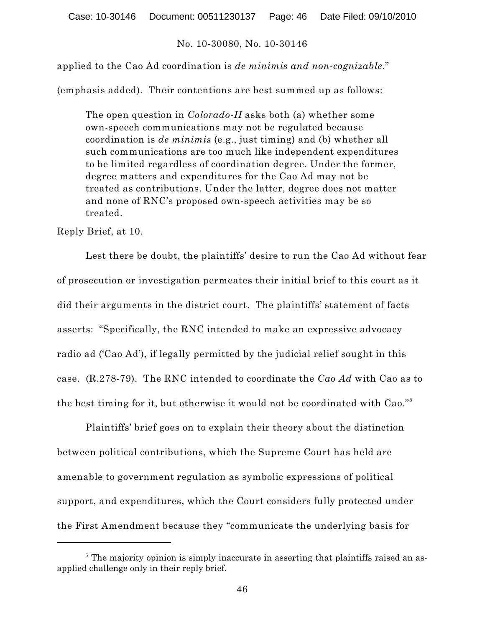applied to the Cao Ad coordination is *de minimis and non-cognizable*."

(emphasis added). Their contentions are best summed up as follows:

The open question in *Colorado-II* asks both (a) whether some own-speech communications may not be regulated because coordination is *de minimis* (e.g., just timing) and (b) whether all such communications are too much like independent expenditures to be limited regardless of coordination degree. Under the former, degree matters and expenditures for the Cao Ad may not be treated as contributions. Under the latter, degree does not matter and none of RNC's proposed own-speech activities may be so treated.

Reply Brief, at 10.

Lest there be doubt, the plaintiffs' desire to run the Cao Ad without fear of prosecution or investigation permeates their initial brief to this court as it did their arguments in the district court. The plaintiffs' statement of facts asserts: "Specifically, the RNC intended to make an expressive advocacy radio ad ('Cao Ad'), if legally permitted by the judicial relief sought in this case. (R.278-79). The RNC intended to coordinate the *Cao Ad* with Cao as to the best timing for it, but otherwise it would not be coordinated with Cao." 5

Plaintiffs' brief goes on to explain their theory about the distinction between political contributions, which the Supreme Court has held are amenable to government regulation as symbolic expressions of political support, and expenditures, which the Court considers fully protected under the First Amendment because they "communicate the underlying basis for

 $5$  The majority opinion is simply inaccurate in asserting that plaintiffs raised an asapplied challenge only in their reply brief.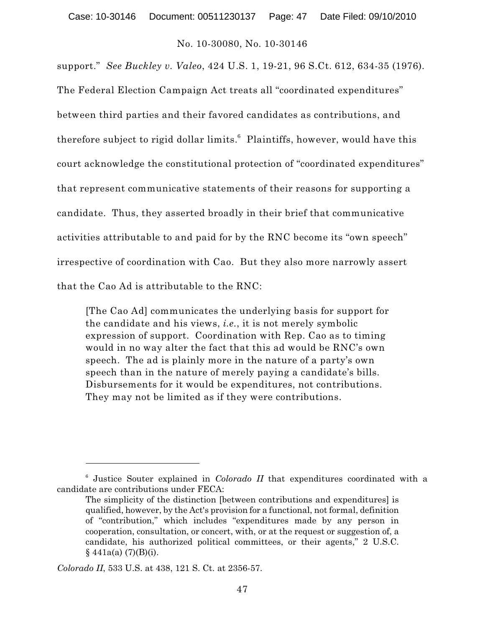support." *See Buckley v. Valeo*, 424 U.S. 1, 19-21, 96 S.Ct. 612, 634-35 (1976). The Federal Election Campaign Act treats all "coordinated expenditures" between third parties and their favored candidates as contributions, and therefore subject to rigid dollar limits. $6$  Plaintiffs, however, would have this court acknowledge the constitutional protection of "coordinated expenditures" that represent communicative statements of their reasons for supporting a candidate. Thus, they asserted broadly in their brief that communicative activities attributable to and paid for by the RNC become its "own speech" irrespective of coordination with Cao. But they also more narrowly assert that the Cao Ad is attributable to the RNC:

[The Cao Ad] communicates the underlying basis for support for the candidate and his views, *i.e.*, it is not merely symbolic expression of support. Coordination with Rep. Cao as to timing would in no way alter the fact that this ad would be RNC's own speech. The ad is plainly more in the nature of a party's own speech than in the nature of merely paying a candidate's bills. Disbursements for it would be expenditures, not contributions. They may not be limited as if they were contributions.

<sup>&</sup>lt;sup>6</sup> Justice Souter explained in *Colorado II* that expenditures coordinated with a candidate are contributions under FECA:

The simplicity of the distinction [between contributions and expenditures] is qualified, however, by the Act's provision for a functional, not formal, definition of "contribution," which includes "expenditures made by any person in cooperation, consultation, or concert, with, or at the request or suggestion of, a candidate, his authorized political committees, or their agents," 2 U.S.C.  $§ 441a(a) (7)(B)(i).$ 

*Colorado II*, 533 U.S. at 438, 121 S. Ct. at 2356-57.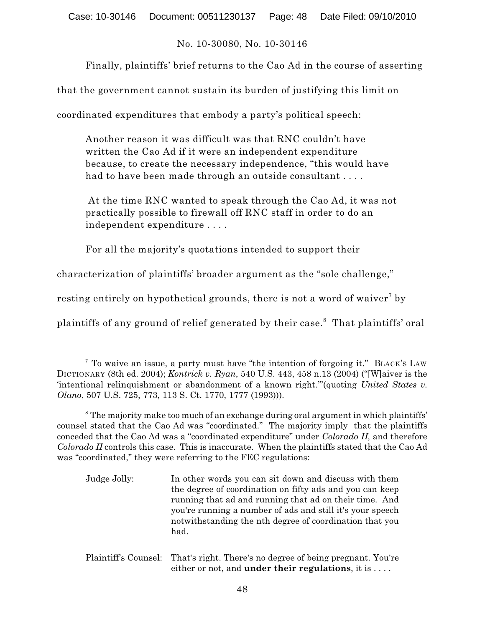Finally, plaintiffs' brief returns to the Cao Ad in the course of asserting

that the government cannot sustain its burden of justifying this limit on

coordinated expenditures that embody a party's political speech:

Another reason it was difficult was that RNC couldn't have written the Cao Ad if it were an independent expenditure because, to create the necessary independence, "this would have had to have been made through an outside consultant . . . .

At the time RNC wanted to speak through the Cao Ad, it was not practically possible to firewall off RNC staff in order to do an independent expenditure . . . .

For all the majority's quotations intended to support their

characterization of plaintiffs' broader argument as the "sole challenge,"

resting entirely on hypothetical grounds, there is not a word of waiver<sup>7</sup> by

plaintiffs of any ground of relief generated by their case.<sup>8</sup> That plaintiffs' oral

Plaintiff's Counsel: That's right. There's no degree of being pregnant. You're either or not, and **under their regulations**, it is . . . .

<sup>&</sup>lt;sup>7</sup> To waive an issue, a party must have "the intention of forgoing it." BLACK's LAW DICTIONARY (8th ed. 2004); *Kontrick v. Ryan*, 540 U.S. 443, 458 n.13 (2004) ("[W]aiver is the 'intentional relinquishment or abandonment of a known right.'"(quoting *United States v. Olano*, 507 U.S. 725, 773, 113 S. Ct. 1770, 1777 (1993))).

<sup>&</sup>lt;sup>8</sup> The majority make too much of an exchange during oral argument in which plaintiffs' counsel stated that the Cao Ad was "coordinated." The majority imply that the plaintiffs conceded that the Cao Ad was a "coordinated expenditure" under *Colorado II,* and therefore *Colorado II* controls this case. This is inaccurate. When the plaintiffs stated that the Cao Ad was "coordinated," they were referring to the FEC regulations:

Judge Jolly: In other words you can sit down and discuss with them the degree of coordination on fifty ads and you can keep running that ad and running that ad on their time. And you're running a number of ads and still it's your speech notwithstanding the nth degree of coordination that you had.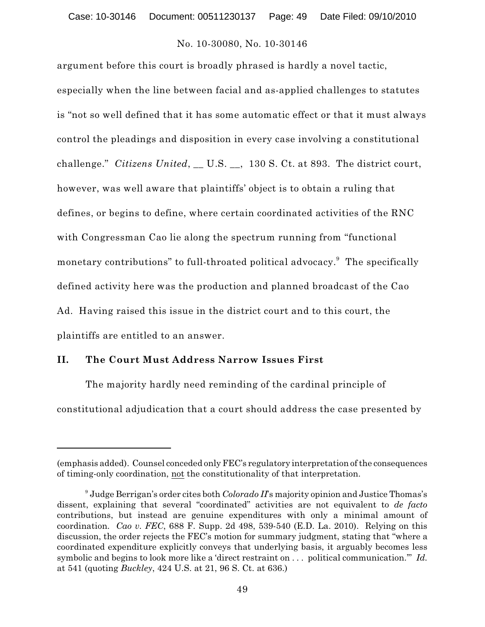argument before this court is broadly phrased is hardly a novel tactic, especially when the line between facial and as-applied challenges to statutes is "not so well defined that it has some automatic effect or that it must always control the pleadings and disposition in every case involving a constitutional challenge." *Citizens United*, \_\_ U.S. \_\_, 130 S. Ct. at 893. The district court, however, was well aware that plaintiffs' object is to obtain a ruling that defines, or begins to define, where certain coordinated activities of the RNC with Congressman Cao lie along the spectrum running from "functional monetary contributions" to full-throated political advocacy.<sup>9</sup> The specifically defined activity here was the production and planned broadcast of the Cao Ad. Having raised this issue in the district court and to this court, the plaintiffs are entitled to an answer.

## **II. The Court Must Address Narrow Issues First**

The majority hardly need reminding of the cardinal principle of constitutional adjudication that a court should address the case presented by

<sup>(</sup>emphasis added). Counsel conceded only FEC's regulatory interpretation of the consequences of timing-only coordination, not the constitutionality of that interpretation.

 $^{\circ}$  Judge Berrigan's order cites both *Colorado II*'s majority opinion and Justice Thomas's dissent, explaining that several "coordinated" activities are not equivalent to *de facto* contributions, but instead are genuine expenditures with only a minimal amount of coordination. *Cao v. FEC*, 688 F. Supp. 2d 498, 539-540 (E.D. La. 2010). Relying on this discussion, the order rejects the FEC's motion for summary judgment, stating that "where a coordinated expenditure explicitly conveys that underlying basis, it arguably becomes less symbolic and begins to look more like a 'direct restraint on . . . political communication.'" *Id.* at 541 (quoting *Buckley*, 424 U.S. at 21, 96 S. Ct. at 636.)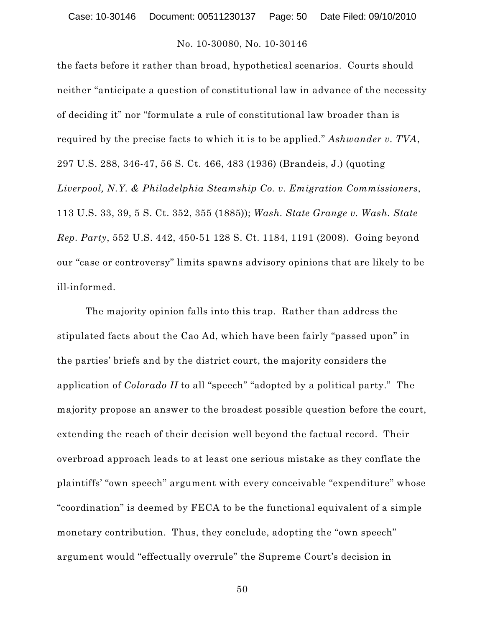the facts before it rather than broad, hypothetical scenarios. Courts should neither "anticipate a question of constitutional law in advance of the necessity of deciding it" nor "formulate a rule of constitutional law broader than is required by the precise facts to which it is to be applied." *Ashwander v. TVA*, 297 U.S. 288, 346-47, 56 S. Ct. 466, 483 (1936) (Brandeis, J.) (quoting *Liverpool, N.Y. & Philadelphia Steamship Co. v. Emigration Commissioners*, 113 U.S. 33, 39, 5 S. Ct. 352, 355 (1885)); *Wash. State Grange v. Wash. State Rep. Party*, 552 U.S. 442, 450-51 128 S. Ct. 1184, 1191 (2008). Going beyond our "case or controversy" limits spawns advisory opinions that are likely to be ill-informed.

The majority opinion falls into this trap. Rather than address the stipulated facts about the Cao Ad, which have been fairly "passed upon" in the parties' briefs and by the district court, the majority considers the application of *Colorado II* to all "speech" "adopted by a political party." The majority propose an answer to the broadest possible question before the court, extending the reach of their decision well beyond the factual record. Their overbroad approach leads to at least one serious mistake as they conflate the plaintiffs' "own speech" argument with every conceivable "expenditure" whose "coordination" is deemed by FECA to be the functional equivalent of a simple monetary contribution. Thus, they conclude, adopting the "own speech" argument would "effectually overrule" the Supreme Court's decision in

50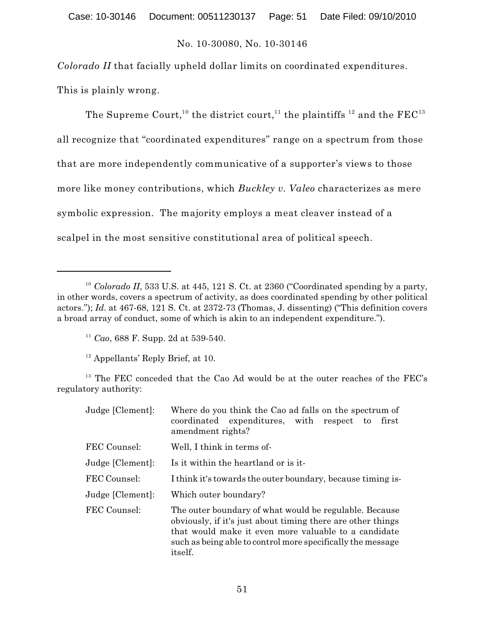*Colorado II* that facially upheld dollar limits on coordinated expenditures.

This is plainly wrong.

The Supreme Court, $^{\rm 10}$  the district court, $^{\rm 11}$  the plaintiffs  $^{\rm 12}$  and the FEC $^{\rm 13}$ all recognize that "coordinated expenditures" range on a spectrum from those that are more independently communicative of a supporter's views to those more like money contributions, which *Buckley v. Valeo* characterizes as mere symbolic expression. The majority employs a meat cleaver instead of a scalpel in the most sensitive constitutional area of political speech.

 $13$  The FEC conceded that the Cao Ad would be at the outer reaches of the FEC's regulatory authority:

| Judge [Clement]: | Where do you think the Cao ad falls on the spectrum of<br>coordinated expenditures, with respect to<br>first<br>amendment rights?                                                                                                                              |
|------------------|----------------------------------------------------------------------------------------------------------------------------------------------------------------------------------------------------------------------------------------------------------------|
| FEC Counsel:     | Well, I think in terms of-                                                                                                                                                                                                                                     |
| Judge [Clement]: | Is it within the heartland or is it-                                                                                                                                                                                                                           |
| FEC Counsel:     | I think it's towards the outer boundary, because timing is-                                                                                                                                                                                                    |
| Judge [Clement]: | Which outer boundary?                                                                                                                                                                                                                                          |
| FEC Counsel:     | The outer boundary of what would be regulable. Because<br>obviously, if it's just about timing there are other things<br>that would make it even more valuable to a candidate<br>such as being able to control more specifically the message<br><i>itself.</i> |

 $10$  Colorado II, 533 U.S. at 445, 121 S. Ct. at 2360 ("Coordinated spending by a party, in other words, covers a spectrum of activity, as does coordinated spending by other political actors."); *Id*. at 467-68, 121 S. Ct. at 2372-73 (Thomas, J. dissenting) ("This definition covers a broad array of conduct, some of which is akin to an independent expenditure.").

<sup>&</sup>lt;sup>11</sup> Cao, 688 F. Supp. 2d at 539-540.

 $12$  Appellants' Reply Brief, at 10.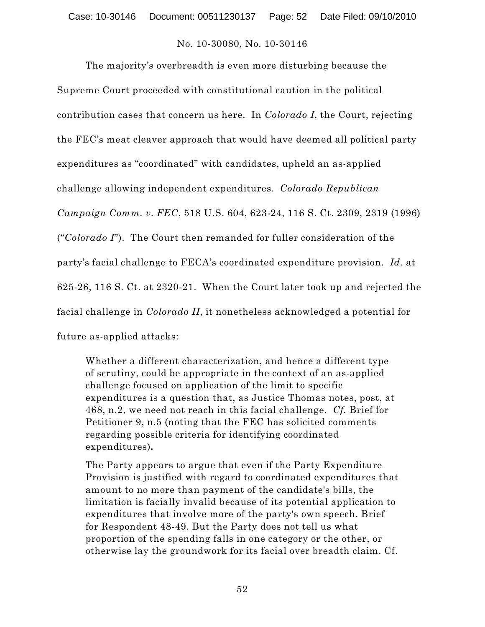The majority's overbreadth is even more disturbing because the Supreme Court proceeded with constitutional caution in the political contribution cases that concern us here. In *Colorado I*, the Court, rejecting the FEC's meat cleaver approach that would have deemed all political party expenditures as "coordinated" with candidates, upheld an as-applied challenge allowing independent expenditures. *Colorado Republican Campaign Comm. v. FEC*, 518 U.S. 604, 623-24, 116 S. Ct. 2309, 2319 (1996) ("*Colorado I*"). The Court then remanded for fuller consideration of the party's facial challenge to FECA's coordinated expenditure provision. *Id.* at 625-26, 116 S. Ct. at 2320-21. When the Court later took up and rejected the facial challenge in *Colorado II*, it nonetheless acknowledged a potential for future as-applied attacks:

Whether a different characterization, and hence a different type of scrutiny, could be appropriate in the context of an as-applied challenge focused on application of the limit to specific expenditures is a question that, as Justice Thomas notes, post, at 468, n.2, we need not reach in this facial challenge. *Cf.* Brief for Petitioner 9, n.5 (noting that the FEC has solicited comments regarding possible criteria for identifying coordinated expenditures)**.**

The Party appears to argue that even if the Party Expenditure Provision is justified with regard to coordinated expenditures that amount to no more than payment of the candidate's bills, the limitation is facially invalid because of its potential application to expenditures that involve more of the party's own speech. Brief for Respondent 48-49. But the Party does not tell us what proportion of the spending falls in one category or the other, or otherwise lay the groundwork for its facial over breadth claim. Cf.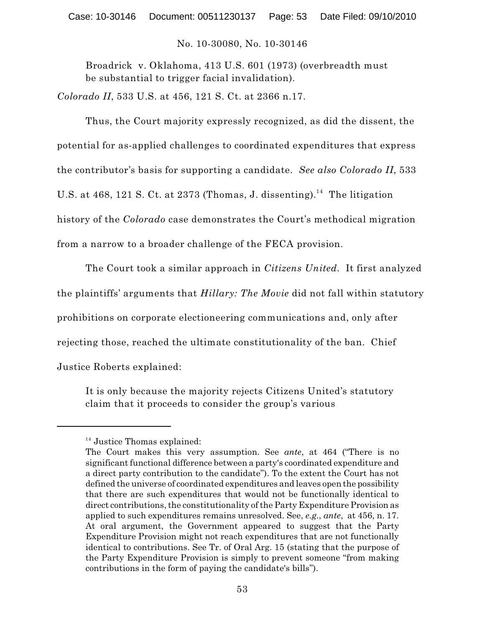Broadrick v. Oklahoma, 413 U.S. 601 (1973) (overbreadth must be substantial to trigger facial invalidation).

*Colorado II*, 533 U.S. at 456, 121 S. Ct. at 2366 n.17.

Thus, the Court majority expressly recognized, as did the dissent, the potential for as-applied challenges to coordinated expenditures that express the contributor's basis for supporting a candidate. *See also Colorado II*, 533 U.S. at 468, 121 S. Ct. at 2373 (Thomas, J. dissenting).<sup>14</sup> The litigation history of the *Colorado* case demonstrates the Court's methodical migration from a narrow to a broader challenge of the FECA provision.

The Court took a similar approach in *Citizens United.* It first analyzed the plaintiffs' arguments that *Hillary: The Movie* did not fall within statutory prohibitions on corporate electioneering communications and, only after rejecting those, reached the ultimate constitutionality of the ban. Chief Justice Roberts explained:

It is only because the majority rejects Citizens United's statutory claim that it proceeds to consider the group's various

 $14$  Justice Thomas explained:

The Court makes this very assumption. See *ante*, at 464 ("There is no significant functional difference between a party's coordinated expenditure and a direct party contribution to the candidate"). To the extent the Court has not defined the universe of coordinated expenditures and leaves open the possibility that there are such expenditures that would not be functionally identical to direct contributions, the constitutionality of the Party Expenditure Provision as applied to such expenditures remains unresolved. See, *e.g*., *ante*, at 456, n. 17. At oral argument, the Government appeared to suggest that the Party Expenditure Provision might not reach expenditures that are not functionally identical to contributions. See Tr. of Oral Arg. 15 (stating that the purpose of the Party Expenditure Provision is simply to prevent someone "from making contributions in the form of paying the candidate's bills").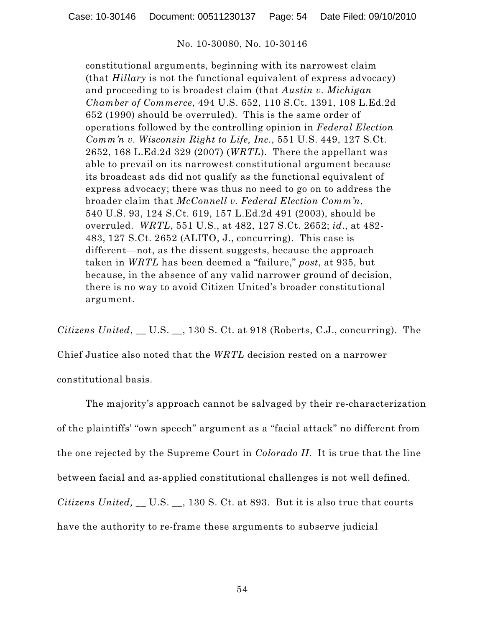constitutional arguments, beginning with its narrowest claim (that *Hillary* is not the functional equivalent of express advocacy) and proceeding to is broadest claim (that *Austin v. Michigan Chamber of Commerce*, 494 U.S. 652, 110 S.Ct. 1391, 108 L.Ed.2d 652 (1990) should be overruled). This is the same order of operations followed by the controlling opinion in *Federal Election Comm'n v. Wisconsin Right to Life, Inc.*, 551 U.S. 449, 127 S.Ct. 2652, 168 L.Ed.2d 329 (2007) (*WRTL*). There the appellant was able to prevail on its narrowest constitutional argument because its broadcast ads did not qualify as the functional equivalent of express advocacy; there was thus no need to go on to address the broader claim that *McConnell v. Federal Election Comm'n*, 540 U.S. 93, 124 S.Ct. 619, 157 L.Ed.2d 491 (2003), should be overruled. *WRTL*, 551 U.S., at 482, 127 S.Ct. 2652; *id*., at 482- 483, 127 S.Ct. 2652 (ALITO, J., concurring). This case is different—not, as the dissent suggests, because the approach taken in *WRTL* has been deemed a "failure," *post*, at 935, but because, in the absence of any valid narrower ground of decision, there is no way to avoid Citizen United's broader constitutional argument.

*Citizens United*, \_\_ U.S. \_\_, 130 S. Ct. at 918 (Roberts, C.J., concurring). The

Chief Justice also noted that the *WRTL* decision rested on a narrower constitutional basis.

The majority's approach cannot be salvaged by their re-characterization of the plaintiffs' "own speech" argument as a "facial attack" no different from the one rejected by the Supreme Court in *Colorado II*. It is true that the line between facial and as-applied constitutional challenges is not well defined. *Citizens United,* \_\_ U.S. \_\_, 130 S. Ct. at 893. But it is also true that courts have the authority to re-frame these arguments to subserve judicial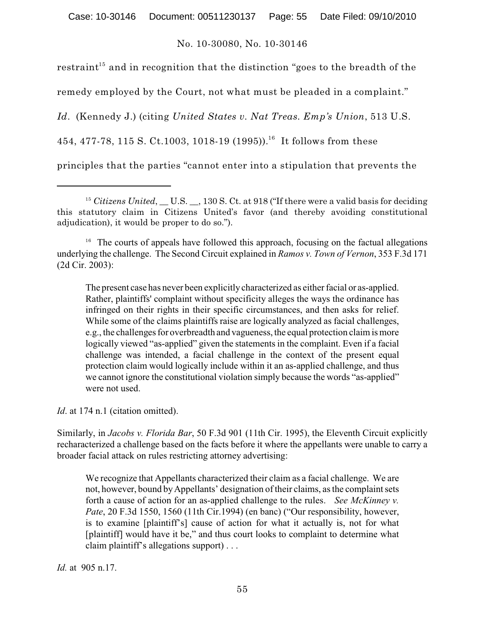Case: 10-30146 Document: 00511230137 Page: 55 Date Filed: 09/10/2010

## No. 10-30080, No. 10-30146

restraint $^{\rm 15}$  and in recognition that the distinction "goes to the breadth of the

remedy employed by the Court, not what must be pleaded in a complaint."

*Id*. (Kennedy J.) (citing *United States v. Nat Treas. Emp's Union*, 513 U.S.

454, 477-78, 115 S. Ct.1003, 1018-19 (1995)).<sup>16</sup> It follows from these

principles that the parties "cannot enter into a stipulation that prevents the

 $16$  The courts of appeals have followed this approach, focusing on the factual allegations underlying the challenge. The Second Circuit explained in *Ramos v. Town of Vernon*, 353 F.3d 171 (2d Cir. 2003):

The present case has never been explicitly characterized as either facial or as-applied. Rather, plaintiffs' complaint without specificity alleges the ways the ordinance has infringed on their rights in their specific circumstances, and then asks for relief. While some of the claims plaintiffs raise are logically analyzed as facial challenges, e.g., the challenges for overbreadth and vagueness, the equal protection claim is more logically viewed "as-applied" given the statements in the complaint. Even if a facial challenge was intended, a facial challenge in the context of the present equal protection claim would logically include within it an as-applied challenge, and thus we cannot ignore the constitutional violation simply because the words "as-applied" were not used.

*Id.* at 174 n.1 (citation omitted).

Similarly, in *Jacobs v. Florida Bar*, 50 F.3d 901 (11th Cir. 1995), the Eleventh Circuit explicitly recharacterized a challenge based on the facts before it where the appellants were unable to carry a broader facial attack on rules restricting attorney advertising:

We recognize that Appellants characterized their claim as a facial challenge. We are not, however, bound byAppellants' designation of their claims, as the complaint sets forth a cause of action for an as-applied challenge to the rules. *See McKinney v. Pate*, 20 F.3d 1550, 1560 (11th Cir.1994) (en banc) ("Our responsibility, however, is to examine [plaintiff's] cause of action for what it actually is, not for what [plaintiff] would have it be," and thus court looks to complaint to determine what claim plaintiff's allegations support) . . .

*Id.* at 905 n.17.

<sup>&</sup>lt;sup>15</sup> Citizens United, U.S. 130 S. Ct. at 918 ("If there were a valid basis for deciding this statutory claim in Citizens United's favor (and thereby avoiding constitutional adjudication), it would be proper to do so.").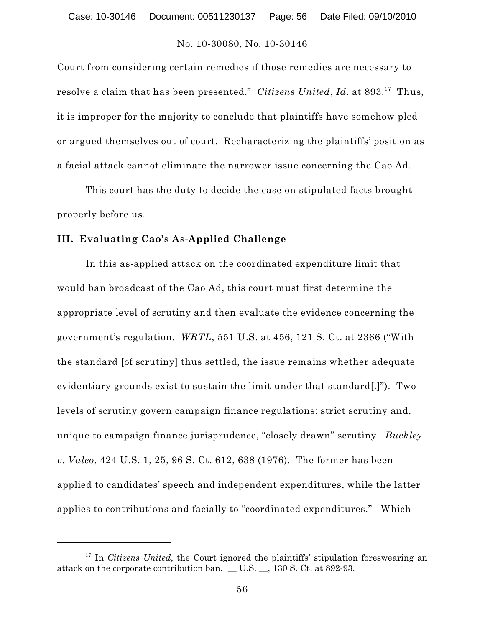Court from considering certain remedies if those remedies are necessary to resolve a claim that has been presented." *Citizens United, Id.* at 893.<sup>17</sup> Thus, it is improper for the majority to conclude that plaintiffs have somehow pled or argued themselves out of court. Recharacterizing the plaintiffs' position as a facial attack cannot eliminate the narrower issue concerning the Cao Ad.

This court has the duty to decide the case on stipulated facts brought properly before us.

#### **III. Evaluating Cao's As-Applied Challenge**

In this as-applied attack on the coordinated expenditure limit that would ban broadcast of the Cao Ad, this court must first determine the appropriate level of scrutiny and then evaluate the evidence concerning the government's regulation. *WRTL*, 551 U.S. at 456, 121 S. Ct. at 2366 ("With the standard [of scrutiny] thus settled, the issue remains whether adequate evidentiary grounds exist to sustain the limit under that standard[.]"). Two levels of scrutiny govern campaign finance regulations: strict scrutiny and, unique to campaign finance jurisprudence, "closely drawn" scrutiny. *Buckley v. Valeo*, 424 U.S. 1, 25, 96 S. Ct. 612, 638 (1976). The former has been applied to candidates' speech and independent expenditures, while the latter applies to contributions and facially to "coordinated expenditures." Which

<sup>&</sup>lt;sup>17</sup> In *Citizens United*, the Court ignored the plaintiffs' stipulation foreswearing an attack on the corporate contribution ban. \_ U.S. \_, 130 S. Ct. at 892-93.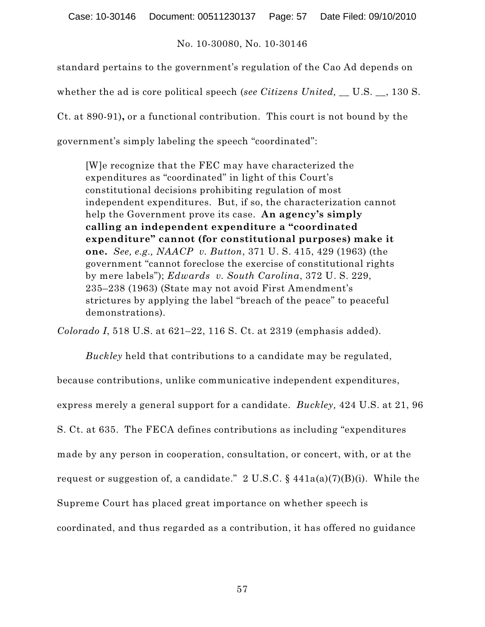Case: 10-30146 Document: 00511230137 Page: 57 Date Filed: 09/10/2010

## No. 10-30080, No. 10-30146

standard pertains to the government's regulation of the Cao Ad depends on

whether the ad is core political speech (*see Citizens United,* \_\_ U.S. \_\_, 130 S.

Ct. at 890-91)**,** or a functional contribution. This court is not bound by the

government's simply labeling the speech "coordinated":

[W]e recognize that the FEC may have characterized the expenditures as "coordinated" in light of this Court's constitutional decisions prohibiting regulation of most independent expenditures. But, if so, the characterization cannot help the Government prove its case. **An agency's simply calling an independent expenditure a "coordinated expenditure" cannot (for constitutional purposes) make it one.** *See, e.g., NAACP v. Button*, 371 U. S. 415, 429 (1963) (the government "cannot foreclose the exercise of constitutional rights by mere labels"); *Edwards v. South Carolina*, 372 U. S. 229, 235–238 (1963) (State may not avoid First Amendment's strictures by applying the label "breach of the peace" to peaceful demonstrations).

*Colorado I*, 518 U.S. at 621–22, 116 S. Ct. at 2319 (emphasis added).

*Buckley* held that contributions to a candidate may be regulated, because contributions, unlike communicative independent expenditures, express merely a general support for a candidate. *Buckley,* 424 U.S. at 21, 96 S. Ct. at 635. The FECA defines contributions as including "expenditures made by any person in cooperation, consultation, or concert, with, or at the request or suggestion of, a candidate."  $2 \text{ U.S.C.}$  §  $441a(a)(7)(B)(i)$ . While the Supreme Court has placed great importance on whether speech is coordinated, and thus regarded as a contribution, it has offered no guidance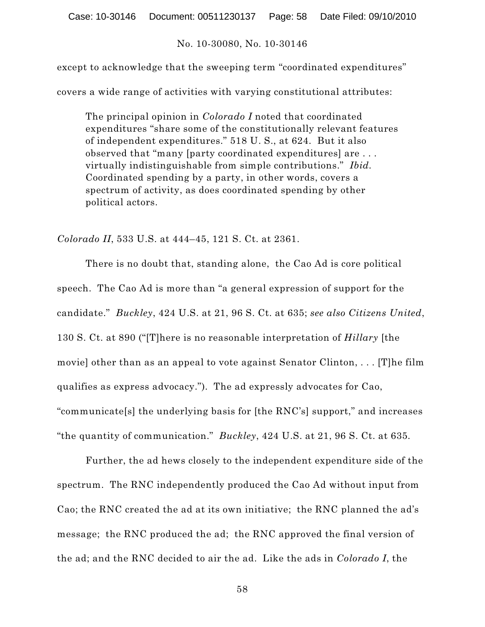except to acknowledge that the sweeping term "coordinated expenditures" covers a wide range of activities with varying constitutional attributes:

The principal opinion in *Colorado I* noted that coordinated expenditures "share some of the constitutionally relevant features of independent expenditures." 518 U. S., at 624. But it also observed that "many [party coordinated expenditures] are . . . virtually indistinguishable from simple contributions." *Ibid.* Coordinated spending by a party, in other words, covers a spectrum of activity, as does coordinated spending by other political actors.

*Colorado II*, 533 U.S. at 444–45, 121 S. Ct. at 2361.

There is no doubt that, standing alone, the Cao Ad is core political speech. The Cao Ad is more than "a general expression of support for the candidate." *Buckley*, 424 U.S. at 21, 96 S. Ct. at 635; *see also Citizens United*, 130 S. Ct. at 890 ("[T]here is no reasonable interpretation of *Hillary* [the movie] other than as an appeal to vote against Senator Clinton, . . . [T]he film qualifies as express advocacy."). The ad expressly advocates for Cao, "communicate[s] the underlying basis for [the RNC's] support," and increases "the quantity of communication." *Buckley*, 424 U.S. at 21, 96 S. Ct. at 635*.*

Further, the ad hews closely to the independent expenditure side of the spectrum. The RNC independently produced the Cao Ad without input from Cao; the RNC created the ad at its own initiative; the RNC planned the ad's message; the RNC produced the ad; the RNC approved the final version of the ad; and the RNC decided to air the ad. Like the ads in *Colorado I*, the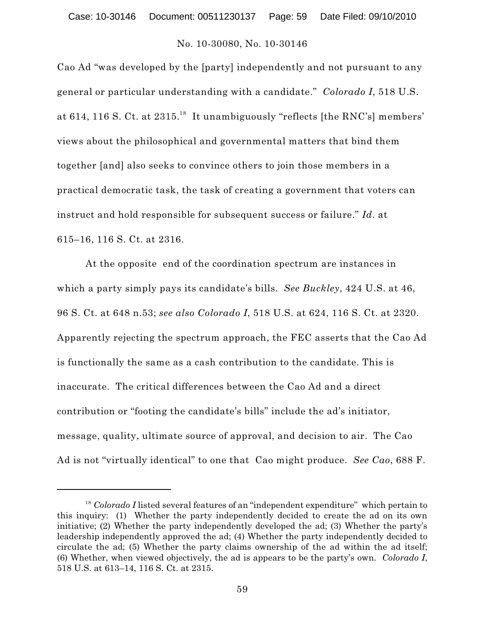Cao Ad "was developed by the [party] independently and not pursuant to any general or particular understanding with a candidate." *Colorado I*, 518 U.S. at 614, 116 S. Ct. at  $2315.^{18}$  It unambiguously "reflects [the RNC's] members' views about the philosophical and governmental matters that bind them together [and] also seeks to convince others to join those members in a practical democratic task, the task of creating a government that voters can instruct and hold responsible for subsequent success or failure." *Id*. at 615–16, 116 S. Ct. at 2316.

At the opposite end of the coordination spectrum are instances in which a party simply pays its candidate's bills. *See Buckley*, 424 U.S. at 46, 96 S. Ct. at 648 n.53; *see also Colorado I*, 518 U.S. at 624, 116 S. Ct. at 2320. Apparently rejecting the spectrum approach, the FEC asserts that the Cao Ad is functionally the same as a cash contribution to the candidate. This is inaccurate. The critical differences between the Cao Ad and a direct contribution or "footing the candidate's bills" include the ad's initiator, message, quality, ultimate source of approval, and decision to air. The Cao Ad is not "virtually identical" to one that Cao might produce. *See Cao*, 688 F.

<sup>&</sup>lt;sup>18</sup> Colorado I listed several features of an "independent expenditure" which pertain to this inquiry: (1) Whether the party independently decided to create the ad on its own initiative; (2) Whether the party independently developed the ad; (3) Whether the party's leadership independently approved the ad; (4) Whether the party independently decided to circulate the ad; (5) Whether the party claims ownership of the ad within the ad itself; (6) Whether, when viewed objectively, the ad is appears to be the party's own. *Colorado I*, 518 U.S. at 613–14, 116 S. Ct. at 2315.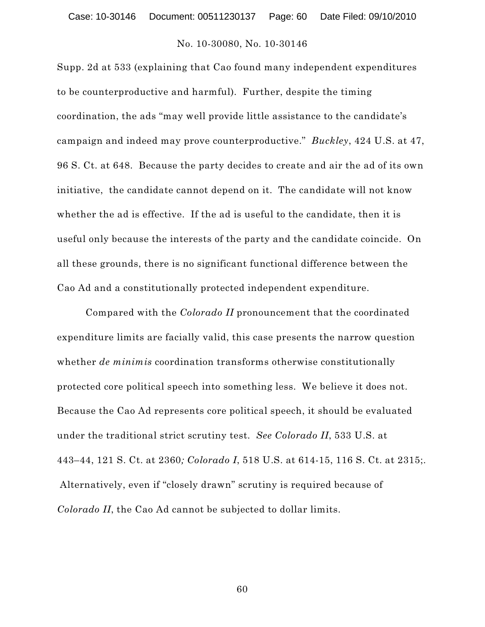Supp. 2d at 533 (explaining that Cao found many independent expenditures to be counterproductive and harmful). Further, despite the timing coordination, the ads "may well provide little assistance to the candidate's campaign and indeed may prove counterproductive." *Buckley*, 424 U.S. at 47, 96 S. Ct. at 648. Because the party decides to create and air the ad of its own initiative, the candidate cannot depend on it. The candidate will not know whether the ad is effective. If the ad is useful to the candidate, then it is useful only because the interests of the party and the candidate coincide. On all these grounds, there is no significant functional difference between the Cao Ad and a constitutionally protected independent expenditure.

Compared with the *Colorado II* pronouncement that the coordinated expenditure limits are facially valid, this case presents the narrow question whether *de minimis* coordination transforms otherwise constitutionally protected core political speech into something less. We believe it does not. Because the Cao Ad represents core political speech, it should be evaluated under the traditional strict scrutiny test. *See Colorado II*, 533 U.S. at 443–44, 121 S. Ct. at 2360*; Colorado I*, 518 U.S. at 614-15, 116 S. Ct. at 2315;. Alternatively, even if "closely drawn" scrutiny is required because of *Colorado II*, the Cao Ad cannot be subjected to dollar limits.

60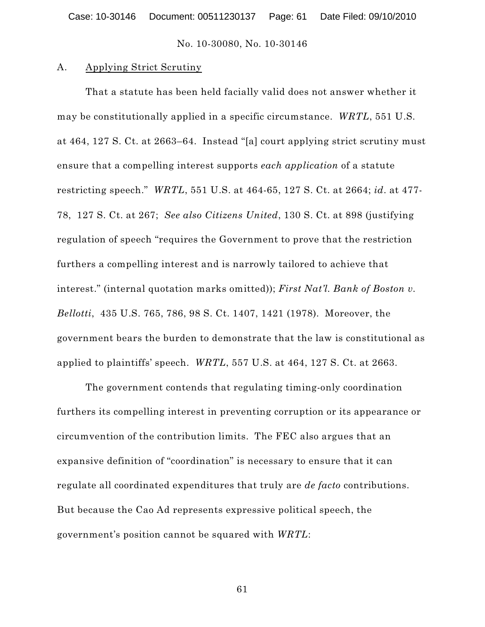#### A. Applying Strict Scrutiny

That a statute has been held facially valid does not answer whether it may be constitutionally applied in a specific circumstance. *WRTL*, 551 U.S*.* at 464, 127 S. Ct. at 2663–64. Instead "[a] court applying strict scrutiny must ensure that a compelling interest supports *each application* of a statute restricting speech." *WRTL*, 551 U.S. at 464-65, 127 S. Ct. at 2664; *id*. at 477- 78, 127 S. Ct. at 267; *See also Citizens United*, 130 S. Ct. at 898 (justifying regulation of speech "requires the Government to prove that the restriction furthers a compelling interest and is narrowly tailored to achieve that interest." (internal quotation marks omitted)); *First Nat'l. Bank of Boston v. Bellotti*, 435 U.S. 765, 786, 98 S. Ct. 1407, 1421 (1978). Moreover, the government bears the burden to demonstrate that the law is constitutional as applied to plaintiffs' speech. *WRTL*, 557 U.S. at 464, 127 S. Ct. at 2663.

The government contends that regulating timing-only coordination furthers its compelling interest in preventing corruption or its appearance or circumvention of the contribution limits. The FEC also argues that an expansive definition of "coordination" is necessary to ensure that it can regulate all coordinated expenditures that truly are *de facto* contributions. But because the Cao Ad represents expressive political speech, the government's position cannot be squared with *WRTL*: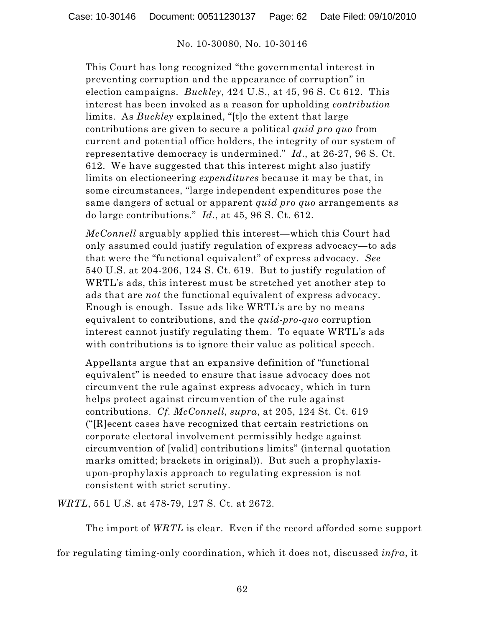This Court has long recognized "the governmental interest in preventing corruption and the appearance of corruption" in election campaigns. *Buckley*, 424 U.S., at 45, 96 S. Ct 612. This interest has been invoked as a reason for upholding *contribution* limits. As *Buckley* explained, "[t]o the extent that large contributions are given to secure a political *quid pro quo* from current and potential office holders, the integrity of our system of representative democracy is undermined." *Id*., at 26-27, 96 S. Ct. 612. We have suggested that this interest might also justify limits on electioneering *expenditures* because it may be that, in some circumstances, "large independent expenditures pose the same dangers of actual or apparent *quid pro quo* arrangements as do large contributions." *Id*., at 45, 96 S. Ct. 612.

*McConnell* arguably applied this interest—which this Court had only assumed could justify regulation of express advocacy—to ads that were the "functional equivalent" of express advocacy. *See* 540 U.S. at 204-206, 124 S. Ct. 619. But to justify regulation of WRTL's ads, this interest must be stretched yet another step to ads that are *not* the functional equivalent of express advocacy. Enough is enough. Issue ads like WRTL's are by no means equivalent to contributions, and the *quid-pro-quo* corruption interest cannot justify regulating them. To equate WRTL's ads with contributions is to ignore their value as political speech.

Appellants argue that an expansive definition of "functional equivalent" is needed to ensure that issue advocacy does not circumvent the rule against express advocacy, which in turn helps protect against circumvention of the rule against contributions. *Cf. McConnell*, *supra*, at 205, 124 St. Ct. 619 ("[R]ecent cases have recognized that certain restrictions on corporate electoral involvement permissibly hedge against circumvention of [valid] contributions limits" (internal quotation marks omitted; brackets in original)). But such a prophylaxisupon-prophylaxis approach to regulating expression is not consistent with strict scrutiny.

*WRTL*, 551 U.S. at 478-79, 127 S. Ct. at 2672.

The import of *WRTL* is clear. Even if the record afforded some support

for regulating timing-only coordination, which it does not, discussed *infra*, it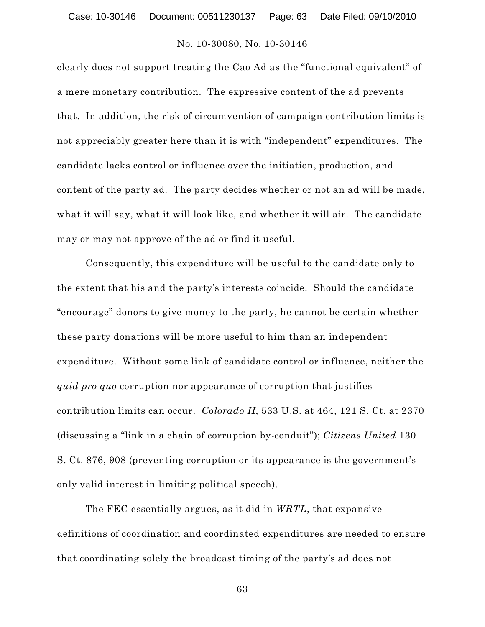clearly does not support treating the Cao Ad as the "functional equivalent" of a mere monetary contribution. The expressive content of the ad prevents that. In addition, the risk of circumvention of campaign contribution limits is not appreciably greater here than it is with "independent" expenditures. The candidate lacks control or influence over the initiation, production, and content of the party ad. The party decides whether or not an ad will be made, what it will say, what it will look like, and whether it will air. The candidate may or may not approve of the ad or find it useful.

Consequently, this expenditure will be useful to the candidate only to the extent that his and the party's interests coincide. Should the candidate "encourage" donors to give money to the party, he cannot be certain whether these party donations will be more useful to him than an independent expenditure. Without some link of candidate control or influence, neither the *quid pro quo* corruption nor appearance of corruption that justifies contribution limits can occur. *Colorado II*, 533 U.S. at 464, 121 S. Ct. at 2370 (discussing a "link in a chain of corruption by-conduit"); *Citizens United* 130 S. Ct. 876, 908 (preventing corruption or its appearance is the government's only valid interest in limiting political speech).

The FEC essentially argues, as it did in *WRTL*, that expansive definitions of coordination and coordinated expenditures are needed to ensure that coordinating solely the broadcast timing of the party's ad does not

63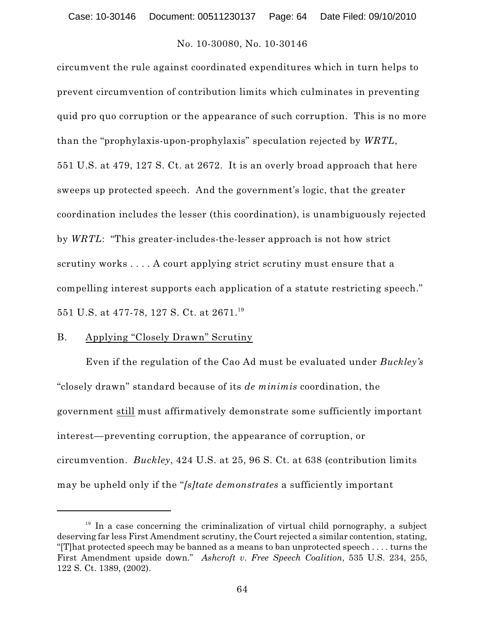circumvent the rule against coordinated expenditures which in turn helps to prevent circumvention of contribution limits which culminates in preventing quid pro quo corruption or the appearance of such corruption. This is no more than the "prophylaxis-upon-prophylaxis" speculation rejected by *WRTL*, 551 U.S. at 479, 127 S. Ct. at 2672. It is an overly broad approach that here sweeps up protected speech. And the government's logic, that the greater coordination includes the lesser (this coordination), is unambiguously rejected by *WRTL*: "This greater-includes-the-lesser approach is not how strict scrutiny works . . . . A court applying strict scrutiny must ensure that a compelling interest supports each application of a statute restricting speech."  $551$  U.S. at 477-78, 127 S. Ct. at 2671. $^{\rm 19}$ 

#### B. Applying "Closely Drawn" Scrutiny

Even if the regulation of the Cao Ad must be evaluated under *Buckley's* "closely drawn" standard because of its *de minimis* coordination, the government still must affirmatively demonstrate some sufficiently important interest—preventing corruption, the appearance of corruption, or circumvention. *Buckley*, 424 U.S. at 25, 96 S. Ct. at 638 (contribution limits may be upheld only if the "*[s]tate demonstrates* a sufficiently important

 $19$  In a case concerning the criminalization of virtual child pornography, a subject deserving far less First Amendment scrutiny, the Court rejected a similar contention, stating, "[T]hat protected speech may be banned as a means to ban unprotected speech . . . . turns the First Amendment upside down." *Ashcroft v. Free Speech Coalition*, 535 U.S. 234, 255, 122 S. Ct. 1389, (2002).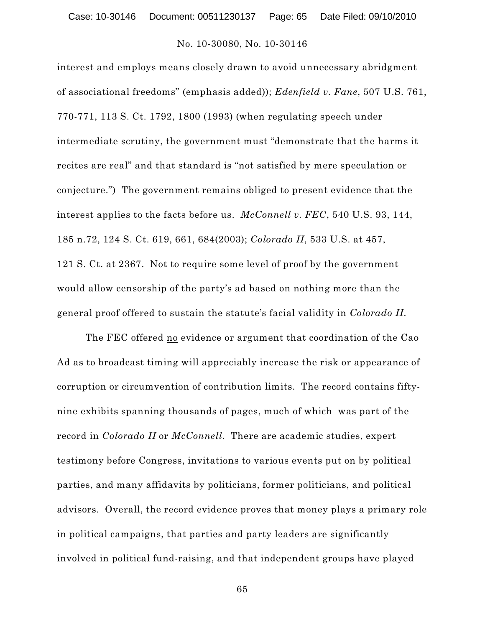interest and employs means closely drawn to avoid unnecessary abridgment of associational freedoms" (emphasis added)); *Edenfield v. Fane*, 507 U.S. 761, 770-771, 113 S. Ct. 1792, 1800 (1993) (when regulating speech under intermediate scrutiny, the government must "demonstrate that the harms it recites are real" and that standard is "not satisfied by mere speculation or conjecture.") The government remains obliged to present evidence that the interest applies to the facts before us. *McConnell v. FEC*, 540 U.S. 93, 144, 185 n.72, 124 S. Ct. 619, 661, 684(2003); *Colorado II*, 533 U.S. at 457, 121 S. Ct. at 2367. Not to require some level of proof by the government would allow censorship of the party's ad based on nothing more than the general proof offered to sustain the statute's facial validity in *Colorado II*.

The FEC offered no evidence or argument that coordination of the Cao Ad as to broadcast timing will appreciably increase the risk or appearance of corruption or circumvention of contribution limits. The record contains fiftynine exhibits spanning thousands of pages, much of which was part of the record in *Colorado II* or *McConnell*. There are academic studies, expert testimony before Congress, invitations to various events put on by political parties, and many affidavits by politicians, former politicians, and political advisors. Overall, the record evidence proves that money plays a primary role in political campaigns, that parties and party leaders are significantly involved in political fund-raising, and that independent groups have played

65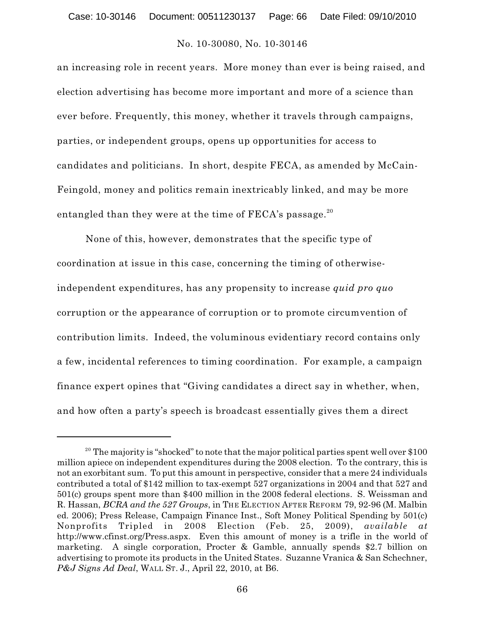an increasing role in recent years. More money than ever is being raised, and election advertising has become more important and more of a science than ever before. Frequently, this money, whether it travels through campaigns, parties, or independent groups, opens up opportunities for access to candidates and politicians. In short, despite FECA, as amended by McCain-Feingold, money and politics remain inextricably linked, and may be more entangled than they were at the time of FECA's passage. $^{\rm 20}$ 

None of this, however, demonstrates that the specific type of coordination at issue in this case, concerning the timing of otherwiseindependent expenditures, has any propensity to increase *quid pro quo* corruption or the appearance of corruption or to promote circumvention of contribution limits. Indeed, the voluminous evidentiary record contains only a few, incidental references to timing coordination. For example, a campaign finance expert opines that "Giving candidates a direct say in whether, when, and how often a party's speech is broadcast essentially gives them a direct

 $20$  The majority is "shocked" to note that the major political parties spent well over \$100 million apiece on independent expenditures during the 2008 election. To the contrary, this is not an exorbitant sum. To put this amount in perspective, consider that a mere 24 individuals contributed a total of \$142 million to tax-exempt 527 organizations in 2004 and that 527 and 501(c) groups spent more than \$400 million in the 2008 federal elections. S. Weissman and R. Hassan, *BCRA and the 527 Groups*, in THE ELECTION AFTER REFORM 79, 92-96 (M. Malbin ed. 2006); Press Release, Campaign Finance Inst., Soft Money Political Spending by 501(c) Nonprofits Tripled in 2008 Election (Feb. 25, 2009), *available at* http://www.cfinst.org/Press.aspx. Even this amount of money is a trifle in the world of marketing. A single corporation, Procter & Gamble, annually spends \$2.7 billion on advertising to promote its products in the United States. Suzanne Vranica & San Schechner, *P&J Signs Ad Deal*, WALL ST. J., April 22, 2010, at B6.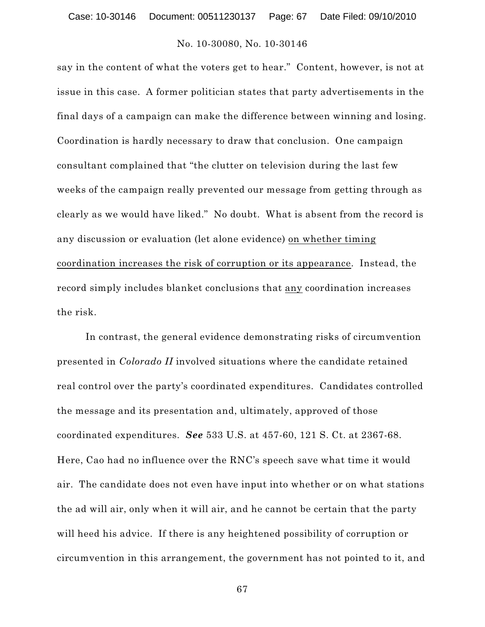say in the content of what the voters get to hear." Content, however, is not at issue in this case. A former politician states that party advertisements in the final days of a campaign can make the difference between winning and losing. Coordination is hardly necessary to draw that conclusion. One campaign consultant complained that "the clutter on television during the last few weeks of the campaign really prevented our message from getting through as clearly as we would have liked." No doubt. What is absent from the record is any discussion or evaluation (let alone evidence) on whether timing coordination increases the risk of corruption or its appearance. Instead, the record simply includes blanket conclusions that any coordination increases the risk.

In contrast, the general evidence demonstrating risks of circumvention presented in *Colorado II* involved situations where the candidate retained real control over the party's coordinated expenditures. Candidates controlled the message and its presentation and, ultimately, approved of those coordinated expenditures. *See* 533 U.S. at 457-60, 121 S. Ct. at 2367-68. Here, Cao had no influence over the RNC's speech save what time it would air. The candidate does not even have input into whether or on what stations the ad will air, only when it will air, and he cannot be certain that the party will heed his advice. If there is any heightened possibility of corruption or circumvention in this arrangement, the government has not pointed to it, and

67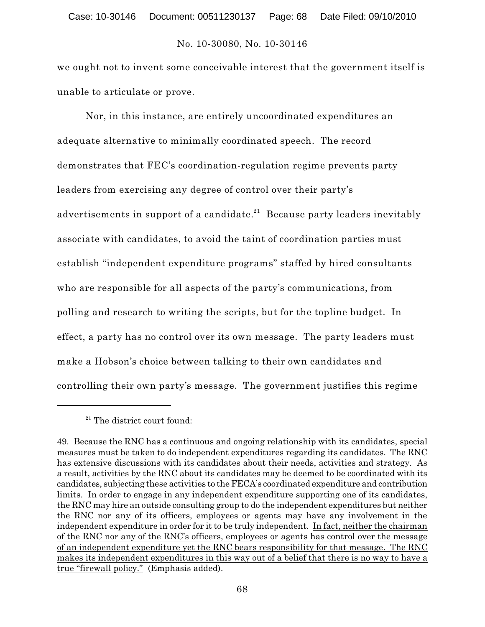we ought not to invent some conceivable interest that the government itself is unable to articulate or prove.

Nor, in this instance, are entirely uncoordinated expenditures an adequate alternative to minimally coordinated speech. The record demonstrates that FEC's coordination-regulation regime prevents party leaders from exercising any degree of control over their party's advertisements in support of a candidate. $^{21}$  Because party leaders inevitably associate with candidates, to avoid the taint of coordination parties must establish "independent expenditure programs" staffed by hired consultants who are responsible for all aspects of the party's communications, from polling and research to writing the scripts, but for the topline budget. In effect, a party has no control over its own message. The party leaders must make a Hobson's choice between talking to their own candidates and controlling their own party's message. The government justifies this regime

 $21$  The district court found:

<sup>49.</sup> Because the RNC has a continuous and ongoing relationship with its candidates, special measures must be taken to do independent expenditures regarding its candidates. The RNC has extensive discussions with its candidates about their needs, activities and strategy. As a result, activities by the RNC about its candidates may be deemed to be coordinated with its candidates, subjecting these activities to the FECA's coordinated expenditure and contribution limits. In order to engage in any independent expenditure supporting one of its candidates, the RNC may hire an outside consulting group to do the independent expenditures but neither the RNC nor any of its officers, employees or agents may have any involvement in the independent expenditure in order for it to be truly independent. In fact, neither the chairman of the RNC nor any of the RNC's officers, employees or agents has control over the message of an independent expenditure yet the RNC bears responsibility for that message. The RNC makes its independent expenditures in this way out of a belief that there is no way to have a true "firewall policy." (Emphasis added).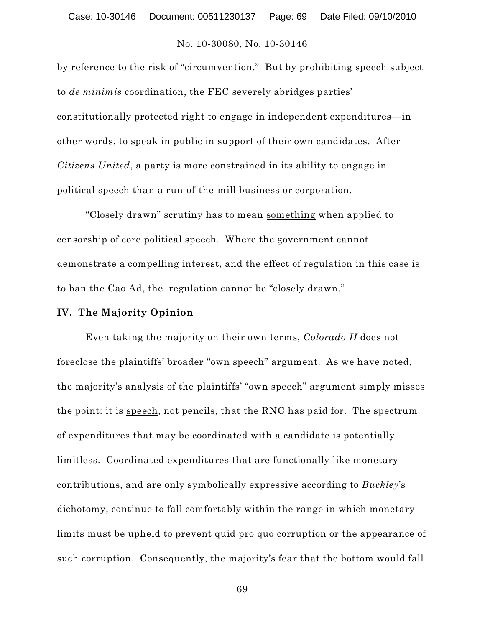by reference to the risk of "circumvention." But by prohibiting speech subject to *de minimis* coordination, the FEC severely abridges parties' constitutionally protected right to engage in independent expenditures—in other words, to speak in public in support of their own candidates. After *Citizens United*, a party is more constrained in its ability to engage in political speech than a run-of-the-mill business or corporation.

"Closely drawn" scrutiny has to mean something when applied to censorship of core political speech. Where the government cannot demonstrate a compelling interest, and the effect of regulation in this case is to ban the Cao Ad, the regulation cannot be "closely drawn."

#### **IV. The Majority Opinion**

Even taking the majority on their own terms, *Colorado II* does not foreclose the plaintiffs' broader "own speech" argument. As we have noted, the majority's analysis of the plaintiffs' "own speech" argument simply misses the point: it is speech, not pencils, that the RNC has paid for. The spectrum of expenditures that may be coordinated with a candidate is potentially limitless. Coordinated expenditures that are functionally like monetary contributions, and are only symbolically expressive according to *Buckley*'s dichotomy, continue to fall comfortably within the range in which monetary limits must be upheld to prevent quid pro quo corruption or the appearance of such corruption. Consequently, the majority's fear that the bottom would fall

69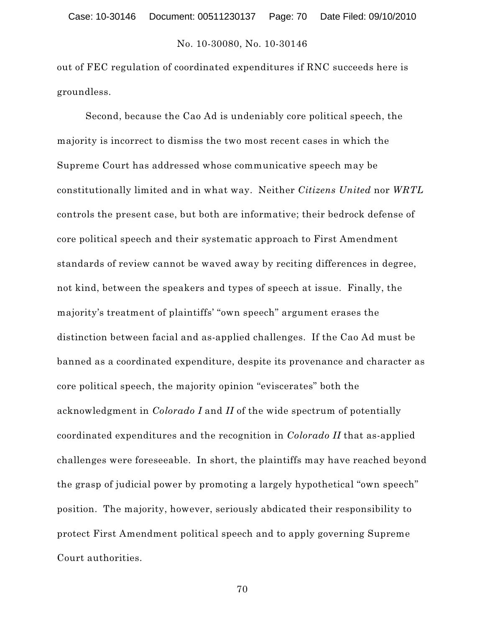out of FEC regulation of coordinated expenditures if RNC succeeds here is groundless.

Second, because the Cao Ad is undeniably core political speech, the majority is incorrect to dismiss the two most recent cases in which the Supreme Court has addressed whose communicative speech may be constitutionally limited and in what way. Neither *Citizens United* nor *WRTL* controls the present case, but both are informative; their bedrock defense of core political speech and their systematic approach to First Amendment standards of review cannot be waved away by reciting differences in degree, not kind, between the speakers and types of speech at issue. Finally, the majority's treatment of plaintiffs' "own speech" argument erases the distinction between facial and as-applied challenges. If the Cao Ad must be banned as a coordinated expenditure, despite its provenance and character as core political speech, the majority opinion "eviscerates" both the acknowledgment in *Colorado I* and *II* of the wide spectrum of potentially coordinated expenditures and the recognition in *Colorado II* that as-applied challenges were foreseeable. In short, the plaintiffs may have reached beyond the grasp of judicial power by promoting a largely hypothetical "own speech" position. The majority, however, seriously abdicated their responsibility to protect First Amendment political speech and to apply governing Supreme Court authorities.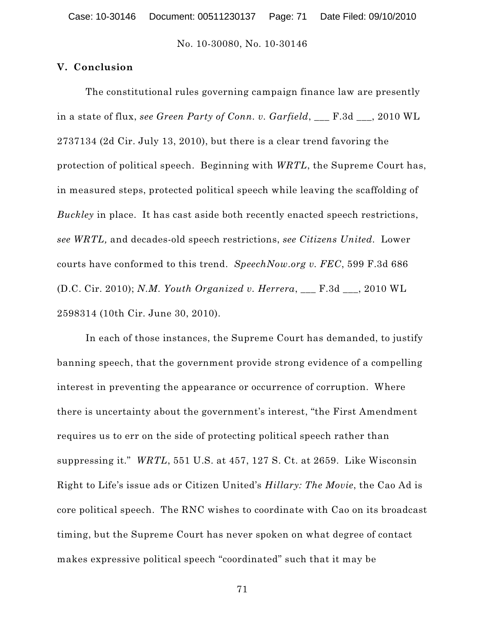## **V. Conclusion**

The constitutional rules governing campaign finance law are presently in a state of flux, *see Green Party of Conn. v. Garfield*, \_\_\_ F.3d \_\_\_, 2010 WL 2737134 (2d Cir. July 13, 2010), but there is a clear trend favoring the protection of political speech. Beginning with *WRTL*, the Supreme Court has, in measured steps, protected political speech while leaving the scaffolding of *Buckley* in place. It has cast aside both recently enacted speech restrictions, *see WRTL,* and decades-old speech restrictions, *see Citizens United.* Lower courts have conformed to this trend. *SpeechNow.org v. FEC*, 599 F.3d 686 (D.C. Cir. 2010); *N.M. Youth Organized v. Herrera*, \_\_\_ F.3d \_\_\_, 2010 WL 2598314 (10th Cir. June 30, 2010).

In each of those instances, the Supreme Court has demanded, to justify banning speech, that the government provide strong evidence of a compelling interest in preventing the appearance or occurrence of corruption. Where there is uncertainty about the government's interest, "the First Amendment requires us to err on the side of protecting political speech rather than suppressing it." *WRTL*, 551 U.S. at 457, 127 S. Ct. at 2659. Like Wisconsin Right to Life's issue ads or Citizen United's *Hillary: The Movie*, the Cao Ad is core political speech. The RNC wishes to coordinate with Cao on its broadcast timing, but the Supreme Court has never spoken on what degree of contact makes expressive political speech "coordinated" such that it may be

71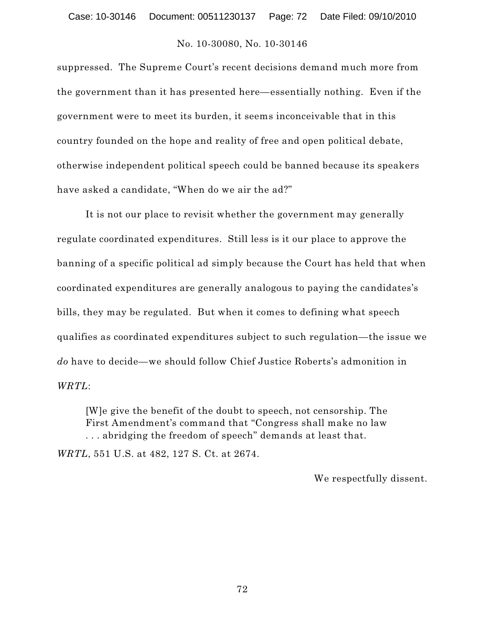suppressed. The Supreme Court's recent decisions demand much more from the government than it has presented here—essentially nothing. Even if the government were to meet its burden, it seems inconceivable that in this country founded on the hope and reality of free and open political debate, otherwise independent political speech could be banned because its speakers have asked a candidate, "When do we air the ad?"

It is not our place to revisit whether the government may generally regulate coordinated expenditures. Still less is it our place to approve the banning of a specific political ad simply because the Court has held that when coordinated expenditures are generally analogous to paying the candidates's bills, they may be regulated. But when it comes to defining what speech qualifies as coordinated expenditures subject to such regulation—the issue we *do* have to decide—we should follow Chief Justice Roberts's admonition in *WRTL*:

[W]e give the benefit of the doubt to speech, not censorship. The First Amendment's command that "Congress shall make no law . . . abridging the freedom of speech" demands at least that.

*WRTL*, 551 U.S. at 482, 127 S. Ct. at 2674.

We respectfully dissent.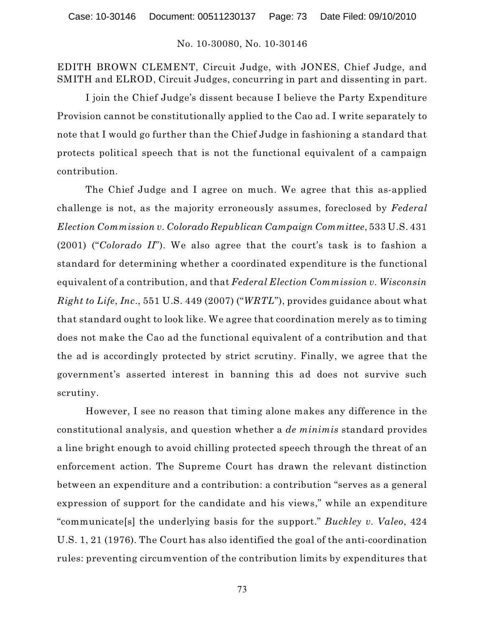EDITH BROWN CLEMENT, Circuit Judge, with JONES, Chief Judge, and SMITH and ELROD, Circuit Judges, concurring in part and dissenting in part.

I join the Chief Judge's dissent because I believe the Party Expenditure Provision cannot be constitutionally applied to the Cao ad. I write separately to note that I would go further than the Chief Judge in fashioning a standard that protects political speech that is not the functional equivalent of a campaign contribution.

The Chief Judge and I agree on much. We agree that this as-applied challenge is not, as the majority erroneously assumes, foreclosed by *Federal Election Commission v. Colorado Republican Campaign Committee*, 533 U.S. 431 (2001) ("*Colorado II*"). We also agree that the court's task is to fashion a standard for determining whether a coordinated expenditure is the functional equivalent of a contribution, and that *Federal Election Commission v. Wisconsin Right to Life*, *Inc*., 551 U.S. 449 (2007) ("*WRTL*"), provides guidance about what that standard ought to look like. We agree that coordination merely as to timing does not make the Cao ad the functional equivalent of a contribution and that the ad is accordingly protected by strict scrutiny. Finally, we agree that the government's asserted interest in banning this ad does not survive such scrutiny.

However, I see no reason that timing alone makes any difference in the constitutional analysis, and question whether a *de minimis* standard provides a line bright enough to avoid chilling protected speech through the threat of an enforcement action. The Supreme Court has drawn the relevant distinction between an expenditure and a contribution: a contribution "serves as a general expression of support for the candidate and his views," while an expenditure "communicate[s] the underlying basis for the support." *Buckley v. Valeo*, 424 U.S. 1, 21 (1976). The Court has also identified the goal of the anti-coordination rules: preventing circumvention of the contribution limits by expenditures that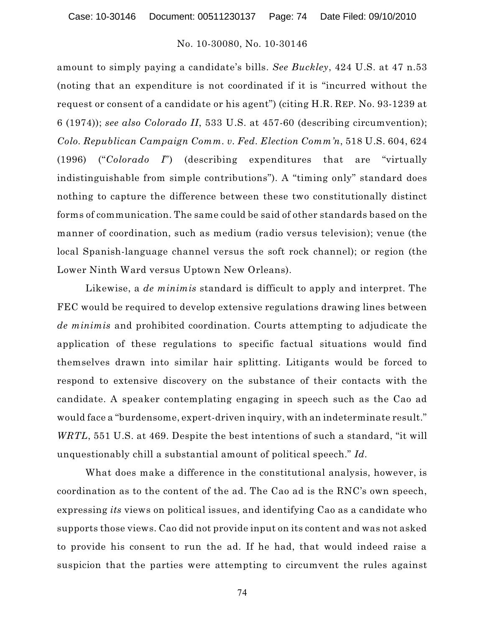amount to simply paying a candidate's bills. *See Buckley*, 424 U.S. at 47 n.53 (noting that an expenditure is not coordinated if it is "incurred without the request or consent of a candidate or his agent") (citing H.R. REP. No. 93-1239 at 6 (1974)); *see also Colorado II*, 533 U.S. at 457-60 (describing circumvention); *Colo. Republican Campaign Comm. v. Fed. Election Comm'n*, 518 U.S. 604, 624 (1996) ("*Colorado I*") (describing expenditures that are "virtually indistinguishable from simple contributions"). A "timing only" standard does nothing to capture the difference between these two constitutionally distinct forms of communication. The same could be said of other standards based on the manner of coordination, such as medium (radio versus television); venue (the local Spanish-language channel versus the soft rock channel); or region (the Lower Ninth Ward versus Uptown New Orleans).

Likewise, a *de minimis* standard is difficult to apply and interpret. The FEC would be required to develop extensive regulations drawing lines between *de minimis* and prohibited coordination. Courts attempting to adjudicate the application of these regulations to specific factual situations would find themselves drawn into similar hair splitting. Litigants would be forced to respond to extensive discovery on the substance of their contacts with the candidate. A speaker contemplating engaging in speech such as the Cao ad would face a "burdensome, expert-driven inquiry, with an indeterminate result." *WRTL*, 551 U.S. at 469. Despite the best intentions of such a standard, "it will unquestionably chill a substantial amount of political speech." *Id.*

What does make a difference in the constitutional analysis, however, is coordination as to the content of the ad. The Cao ad is the RNC's own speech, expressing *its* views on political issues, and identifying Cao as a candidate who supports those views. Cao did not provide input on its content and was not asked to provide his consent to run the ad. If he had, that would indeed raise a suspicion that the parties were attempting to circumvent the rules against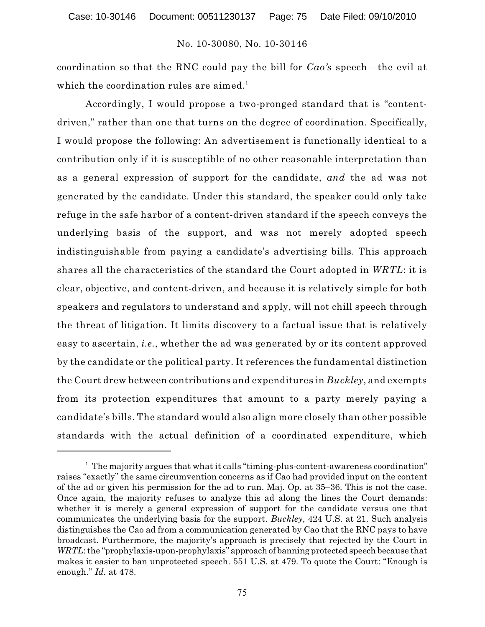coordination so that the RNC could pay the bill for *Cao's* speech—the evil at which the coordination rules are aimed. 1

Accordingly, I would propose a two-pronged standard that is "contentdriven," rather than one that turns on the degree of coordination. Specifically, I would propose the following: An advertisement is functionally identical to a contribution only if it is susceptible of no other reasonable interpretation than as a general expression of support for the candidate, *and* the ad was not generated by the candidate. Under this standard, the speaker could only take refuge in the safe harbor of a content-driven standard if the speech conveys the underlying basis of the support, and was not merely adopted speech indistinguishable from paying a candidate's advertising bills. This approach shares all the characteristics of the standard the Court adopted in *WRTL*: it is clear, objective, and content-driven, and because it is relatively simple for both speakers and regulators to understand and apply, will not chill speech through the threat of litigation. It limits discovery to a factual issue that is relatively easy to ascertain, *i.e.*, whether the ad was generated by or its content approved by the candidate or the political party. It references the fundamental distinction the Court drew between contributions and expenditures in *Buckley*, and exempts from its protection expenditures that amount to a party merely paying a candidate's bills. The standard would also align more closely than other possible standards with the actual definition of a coordinated expenditure, which

 $1$  The majority argues that what it calls "timing-plus-content-awareness coordination" raises "exactly" the same circumvention concerns as if Cao had provided input on the content of the ad or given his permission for the ad to run. Maj. Op. at 35–36. This is not the case. Once again, the majority refuses to analyze this ad along the lines the Court demands: whether it is merely a general expression of support for the candidate versus one that communicates the underlying basis for the support. *Buckley*, 424 U.S. at 21. Such analysis distinguishes the Cao ad from a communication generated by Cao that the RNC pays to have broadcast. Furthermore, the majority's approach is precisely that rejected by the Court in *WRTL*: the "prophylaxis-upon-prophylaxis" approachof banning protected speech because that makes it easier to ban unprotected speech. 551 U.S. at 479. To quote the Court: "Enough is enough." *Id.* at 478.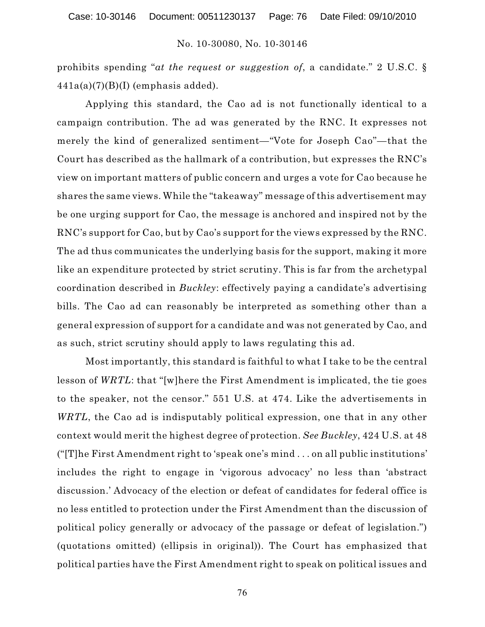prohibits spending "*at the request or suggestion of*, a candidate." 2 U.S.C. §  $441a(a)(7)(B)(I)$  (emphasis added).

Applying this standard, the Cao ad is not functionally identical to a campaign contribution. The ad was generated by the RNC. It expresses not merely the kind of generalized sentiment—"Vote for Joseph Cao"—that the Court has described as the hallmark of a contribution, but expresses the RNC's view on important matters of public concern and urges a vote for Cao because he shares the same views. While the "takeaway" message of this advertisement may be one urging support for Cao, the message is anchored and inspired not by the RNC's support for Cao, but by Cao's support for the views expressed by the RNC. The ad thus communicates the underlying basis for the support, making it more like an expenditure protected by strict scrutiny. This is far from the archetypal coordination described in *Buckley*: effectively paying a candidate's advertising bills. The Cao ad can reasonably be interpreted as something other than a general expression of support for a candidate and was not generated by Cao, and as such, strict scrutiny should apply to laws regulating this ad.

Most importantly, this standard is faithful to what I take to be the central lesson of *WRTL*: that "[w]here the First Amendment is implicated, the tie goes to the speaker, not the censor." 551 U.S. at 474. Like the advertisements in *WRTL*, the Cao ad is indisputably political expression, one that in any other context would merit the highest degree of protection. *See Buckley*, 424 U.S. at 48 ("[T]he First Amendment right to 'speak one's mind . . . on all public institutions' includes the right to engage in 'vigorous advocacy' no less than 'abstract discussion.' Advocacy of the election or defeat of candidates for federal office is no less entitled to protection under the First Amendment than the discussion of political policy generally or advocacy of the passage or defeat of legislation.") (quotations omitted) (ellipsis in original)). The Court has emphasized that political parties have the First Amendment right to speak on political issues and